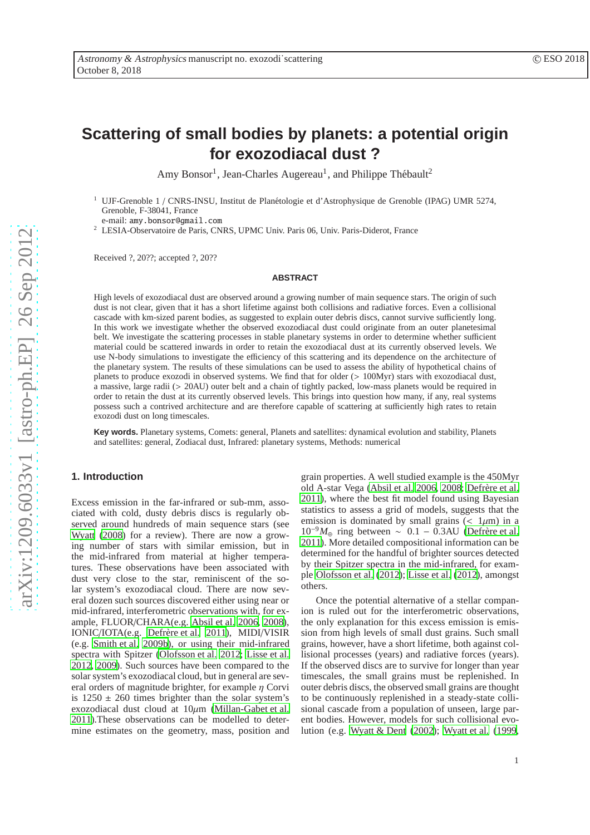# **Scattering of small bodies by planets: a potential origin for exozodiacal dust ?**

Amy Bonsor<sup>1</sup>, Jean-Charles Augereau<sup>1</sup>, and Philippe Thébault<sup>2</sup>

<sup>1</sup> UJF-Grenoble 1 / CNRS-INSU, Institut de Plan´etologie et d'Astrophysique de Grenoble (IPAG) UMR 5274, Grenoble, F-38041, France

e-mail: amy.bonsor@gmail.com

<sup>2</sup> LESIA-Observatoire de Paris, CNRS, UPMC Univ. Paris 06, Univ. Paris-Diderot, France

Received ?, 20??; accepted ?, 20??

## **ABSTRACT**

High levels of exozodiacal dust are observed around a growing number of main sequence stars. The origin of such dust is not clear, given that it has a short lifetime against both collisions and radiative forces. Even a collisional cascade with km-sized parent bodies, as suggested to explain outer debris discs, cannot survive sufficiently long. In this work we investigate whether the observed exozodiacal dust could originate from an outer planetesimal belt. We investigate the scattering processes in stable planetary systems in order to determine whether sufficient material could be scattered inwards in order to retain the exozodiacal dust at its currently observed levels. We use N-body simulations to investigate the efficiency of this scattering and its dependence on the architecture of the planetary system. The results of these simulations can be used to assess the ability of hypothetical chains of planets to produce exozodi in observed systems. We find that for older (> 100Myr) stars with exozodiacal dust, a massive, large radii (> 20AU) outer belt and a chain of tightly packed, low-mass planets would be required in order to retain the dust at its currently observed levels. This brings into question how many, if any, real systems possess such a contrived architecture and are therefore capable of scattering at sufficiently high rates to retain exozodi dust on long timescales.

**Key words.** Planetary systems, Comets: general, Planets and satellites: dynamical evolution and stability, Planets and satellites: general, Zodiacal dust, Infrared: planetary systems, Methods: numerical

# **1. Introduction**

Excess emission in the far-infrared or sub-mm, associated with cold, dusty debris discs is regularly observed around hundreds of main sequence stars (see [Wyatt](#page-18-0) [\(2008\)](#page-18-0) for a review). There are now a growing number of stars with similar emission, but in the mid-infrared from material at higher temperatures. These observations have been associated with dust very close to the star, reminiscent of the solar system's exozodiacal cloud. There are now several dozen such sources discovered either using near or mid-infrared, interferometric observations with, for example, FLUOR/CHARA(e.g. [Absil et al. 2006](#page-18-1), [2008\)](#page-18-2), IONIC/IOTA(e.g. Defrère et al. 2011), MIDI/VISIR (e.g. [Smith et al. 2009b\)](#page-18-4), or using their mid-infrared spectra with Spitzer [\(Olofsson et al. 2012;](#page-18-5) [Lisse et al.](#page-18-6) [2012,](#page-18-6) [2009\)](#page-18-7). Such sources have been compared to the solar system's exozodiacal cloud, but in general are several orders of magnitude brighter, for example  $\eta$  Corvi is  $1250 \pm 260$  times brighter than the solar system's exozodiacal dust cloud at  $10\mu$ m [\(Millan-Gabet et al.](#page-18-8) [2011\)](#page-18-8).These observations can be modelled to determine estimates on the geometry, mass, position and

grain properties. A well studied example is the 450Myr old A-star Vega [\(Absil et al. 2006,](#page-18-1) [2008](#page-18-2); Defrère et al. [2011\)](#page-18-3), where the best fit model found using Bayesian statistics to assess a grid of models, suggests that the emission is dominated by small grains ( $< 1 \mu m$ ) in a  $10^{-9}M_\odot$  ring between ~ 0.1 – 0.3AU (Defrère et al. [2011\)](#page-18-3). More detailed compositional information can be determined for the handful of brighter sources detected by their Spitzer spectra in the mid-infrared, for example [Olofsson et al.](#page-18-5) [\(2012\)](#page-18-5); [Lisse et al. \(2012\)](#page-18-6), amongst others.

Once the potential alternative of a stellar companion is ruled out for the interferometric observations, the only explanation for this excess emission is emission from high levels of small dust grains. Such small grains, however, have a short lifetime, both against collisional processes (years) and radiative forces (years). If the observed discs are to survive for longer than year timescales, the small grains must be replenished. In outer debris discs, the observed small grains are thought to be continuously replenished in a steady-state collisional cascade from a population of unseen, large parent bodies. However, models for such collisional evolution (e.g. [Wyatt & Dent \(2002](#page-18-9)); [Wyatt et al. \(1999,](#page-18-10)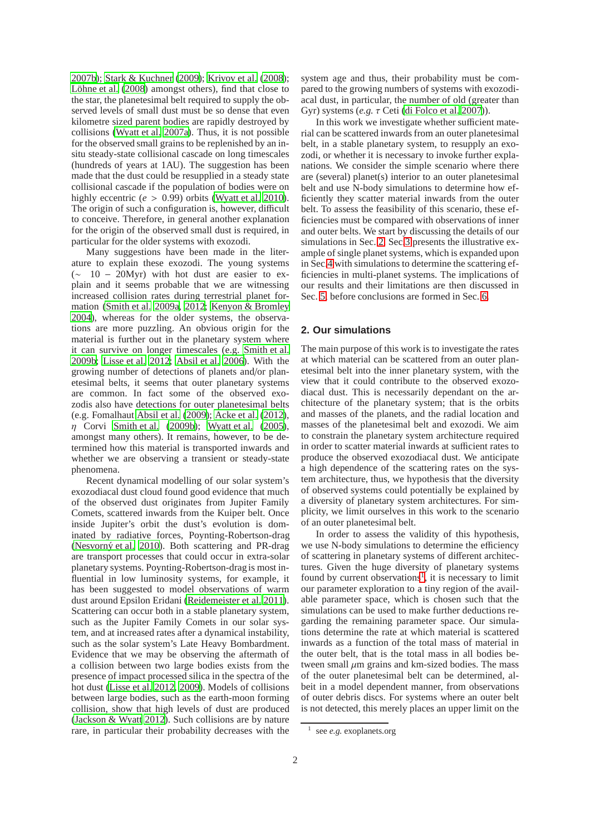[2007b\)](#page-18-11); [Stark & Kuchner](#page-18-12) [\(2009\)](#page-18-12); [Krivov et al.](#page-18-13) [\(2008\)](#page-18-13); Löhne et al. (2008) amongst others), find that close to the star, the planetesimal belt required to supply the observed levels of small dust must be so dense that even kilometre sized parent bodies are rapidly destroyed by collisions [\(Wyatt et al. 2007a\)](#page-18-15). Thus, it is not possible for the observed small grains to be replenished by an insitu steady-state collisional cascade on long timescales (hundreds of years at 1AU). The suggestion has been made that the dust could be resupplied in a steady state collisional cascade if the population of bodies were on highly eccentric (*e* > 0.99) orbits [\(Wyatt et al. 2010\)](#page-18-16). The origin of such a configuration is, however, difficult to conceive. Therefore, in general another explanation for the origin of the observed small dust is required, in particular for the older systems with exozodi.

Many suggestions have been made in the literature to explain these exozodi. The young systems (∼ 10 − 20Myr) with hot dust are easier to explain and it seems probable that we are witnessing increased collision rates during terrestrial planet formation [\(Smith et al. 2009a,](#page-18-17) [2012;](#page-18-18) [Kenyon & Bromley](#page-18-19) [2004\)](#page-18-19), whereas for the older systems, the observations are more puzzling. An obvious origin for the material is further out in the planetary system where it can survive on longer timescales (e.g. [Smith et al.](#page-18-4) [2009b;](#page-18-4) [Lisse et al. 2012](#page-18-6); [Absil et al. 2006\)](#page-18-1). With the growing number of detections of planets and/or planetesimal belts, it seems that outer planetary systems are common. In fact some of the observed exozodis also have detections for outer planetesimal belts (e.g. Fomalhaut [Absil et al. \(2009\)](#page-18-20); [Acke et al. \(2012\)](#page-18-21),  $\eta$  Corvi [Smith et al. \(2009b](#page-18-4)); [Wyatt et al. \(2005\)](#page-18-22), amongst many others). It remains, however, to be determined how this material is transported inwards and whether we are observing a transient or steady-state phenomena.

Recent dynamical modelling of our solar system's exozodiacal dust cloud found good evidence that much of the observed dust originates from Jupiter Family Comets, scattered inwards from the Kuiper belt. Once inside Jupiter's orbit the dust's evolution is dominated by radiative forces, Poynting-Robertson-drag (Nesvorný et al. 2010). Both scattering and PR-drag are transport processes that could occur in extra-solar planetary systems. Poynting-Robertson-drag is most influential in low luminosity systems, for example, it has been suggested to model observations of warm dust around Epsilon Eridani [\(Reidemeister et al. 2011\)](#page-18-24). Scattering can occur both in a stable planetary system, such as the Jupiter Family Comets in our solar system, and at increased rates after a dynamical instability, such as the solar system's Late Heavy Bombardment. Evidence that we may be observing the aftermath of a collision between two large bodies exists from the presence of impact processed silica in the spectra of the hot dust [\(Lisse et al. 2012,](#page-18-6) [2009](#page-18-7)). Models of collisions between large bodies, such as the earth-moon forming collision, show that high levels of dust are produced [\(Jackson & Wyatt 2012](#page-18-25)). Such collisions are by nature rare, in particular their probability decreases with the system age and thus, their probability must be compared to the growing numbers of systems with exozodiacal dust, in particular, the number of old (greater than Gyr) systems (*e.g.* τ Ceti [\(di Folco et al. 2007\)](#page-18-26)).

In this work we investigate whether sufficient material can be scattered inwards from an outer planetesimal belt, in a stable planetary system, to resupply an exozodi, or whether it is necessary to invoke further explanations. We consider the simple scenario where there are (several) planet(s) interior to an outer planetesimal belt and use N-body simulations to determine how efficiently they scatter material inwards from the outer belt. To assess the feasibility of this scenario, these efficiencies must be compared with observations of inner and outer belts. We start by discussing the details of our simulations in Sec. [2.](#page-1-0) Sec[.3](#page-6-0) presents the illustrative example of single planet systems, which is expanded upon in Sec[.4](#page-8-0) with simulations to determine the scattering efficiencies in multi-planet systems. The implications of our results and their limitations are then discussed in Sec. [5,](#page-15-0) before conclusions are formed in Sec. [6.](#page-17-0)

# <span id="page-1-0"></span>**2. Our simulations**

The main purpose of this work is to investigate the rates at which material can be scattered from an outer planetesimal belt into the inner planetary system, with the view that it could contribute to the observed exozodiacal dust. This is necessarily dependant on the architecture of the planetary system; that is the orbits and masses of the planets, and the radial location and masses of the planetesimal belt and exozodi. We aim to constrain the planetary system architecture required in order to scatter material inwards at sufficient rates to produce the observed exozodiacal dust. We anticipate a high dependence of the scattering rates on the system architecture, thus, we hypothesis that the diversity of observed systems could potentially be explained by a diversity of planetary system architectures. For simplicity, we limit ourselves in this work to the scenario of an outer planetesimal belt.

In order to assess the validity of this hypothesis, we use N-body simulations to determine the efficiency of scattering in planetary systems of different architectures. Given the huge diversity of planetary systems found by current observations<sup>[1](#page-1-1)</sup>, it is necessary to limit our parameter exploration to a tiny region of the available parameter space, which is chosen such that the simulations can be used to make further deductions regarding the remaining parameter space. Our simulations determine the rate at which material is scattered inwards as a function of the total mass of material in the outer belt, that is the total mass in all bodies between small  $\mu$ m grains and km-sized bodies. The mass of the outer planetesimal belt can be determined, albeit in a model dependent manner, from observations of outer debris discs. For systems where an outer belt is not detected, this merely places an upper limit on the

<span id="page-1-1"></span><sup>1</sup> see *e.g.* exoplanets.org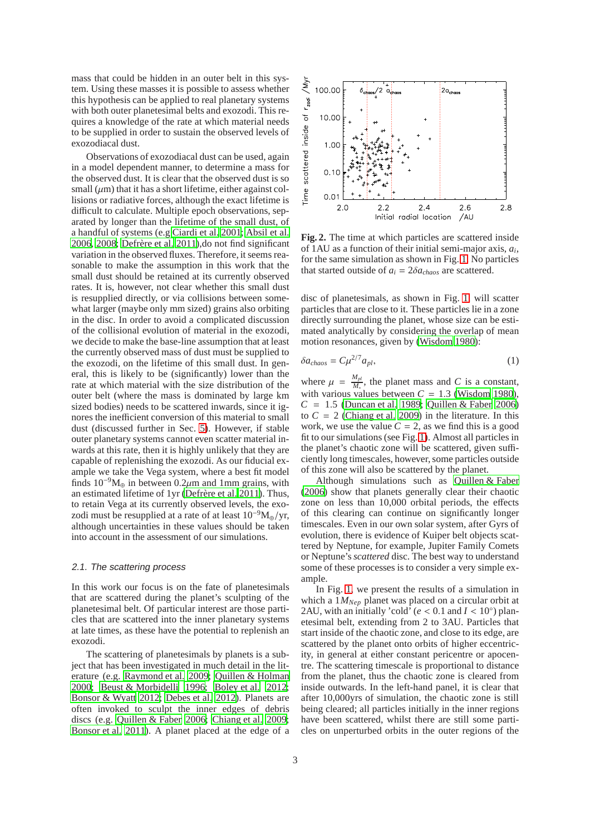mass that could be hidden in an outer belt in this system. Using these masses it is possible to assess whether this hypothesis can be applied to real planetary systems with both outer planetesimal belts and exozodi. This requires a knowledge of the rate at which material needs to be supplied in order to sustain the observed levels of exozodiacal dust.

Observations of exozodiacal dust can be used, again in a model dependent manner, to determine a mass for the observed dust. It is clear that the observed dust is so small  $(\mu m)$  that it has a short lifetime, either against collisions or radiative forces, although the exact lifetime is difficult to calculate. Multiple epoch observations, separated by longer than the lifetime of the small dust, of a handful of systems (e.g [Ciardi et al. 2001;](#page-18-27) [Absil et al.](#page-18-1) [2006,](#page-18-1) [2008](#page-18-2); Defrère et al.  $2011$ ),do not find significant variation in the observed fluxes. Therefore, it seems reasonable to make the assumption in this work that the small dust should be retained at its currently observed rates. It is, however, not clear whether this small dust is resupplied directly, or via collisions between somewhat larger (maybe only mm sized) grains also orbiting in the disc. In order to avoid a complicated discussion of the collisional evolution of material in the exozodi, we decide to make the base-line assumption that at least the currently observed mass of dust must be supplied to the exozodi, on the lifetime of this small dust. In general, this is likely to be (significantly) lower than the rate at which material with the size distribution of the outer belt (where the mass is dominated by large km sized bodies) needs to be scattered inwards, since it ignores the inefficient conversion of this material to small dust (discussed further in Sec. [5\)](#page-15-0). However, if stable outer planetary systems cannot even scatter material inwards at this rate, then it is highly unlikely that they are capable of replenishing the exozodi. As our fiducial example we take the Vega system, where a best fit model finds  $10^{-9}M_{\oplus}$  in between 0.2 $\mu$ m and 1mm grains, with an estimated lifetime of 1yr (Defrère et al. 2011). Thus, to retain Vega at its currently observed levels, the exozodi must be resupplied at a rate of at least  $10^{-9}M_{\oplus}/yr$ , although uncertainties in these values should be taken into account in the assessment of our simulations.

#### <span id="page-2-0"></span>2.1. The scattering process

In this work our focus is on the fate of planetesimals that are scattered during the planet's sculpting of the planetesimal belt. Of particular interest are those particles that are scattered into the inner planetary systems at late times, as these have the potential to replenish an exozodi.

The scattering of planetesimals by planets is a subject that has been investigated in much detail in the literature (e.g. [Raymond et al. 2009](#page-18-28); [Quillen & Holman](#page-18-29) [2000;](#page-18-29) [Beust & Morbidelli 1996;](#page-18-30) [Boley et al. 2012;](#page-18-31) [Bonsor & Wyatt 2012;](#page-18-32) [Debes et al. 2012\)](#page-18-33). Planets are often invoked to sculpt the inner edges of debris discs (e.g. [Quillen & Faber 2006](#page-18-34); [Chiang et al. 2009;](#page-18-35) [Bonsor et al. 2011\)](#page-18-36). A planet placed at the edge of a



<span id="page-2-2"></span>**Fig. 2.** The time at which particles are scattered inside of 1AU as a function of their initial semi-major axis, *a<sup>i</sup>* , for the same simulation as shown in Fig. [1.](#page-3-0) No particles that started outside of  $a_i = 2\delta a_{chaos}$  are scattered.

disc of planetesimals, as shown in Fig. [1,](#page-3-0) will scatter particles that are close to it. These particles lie in a zone directly surrounding the planet, whose size can be estimated analytically by considering the overlap of mean motion resonances, given by [\(Wisdom 1980\)](#page-18-37):

<span id="page-2-1"></span>
$$
\delta a_{chaos} = C \mu^{2/7} a_{pl},\tag{1}
$$

where  $\mu = \frac{M_{pl}}{M}$  $\frac{M_{pl}}{M_*}$ , the planet mass and *C* is a constant, with various values between  $C = 1.3$  [\(Wisdom 1980\)](#page-18-37),  $C = 1.5$  [\(Duncan et al. 1989](#page-18-38); [Quillen & Faber 2006\)](#page-18-34) to  $C = 2$  [\(Chiang et al. 2009](#page-18-35)) in the literature. In this work, we use the value  $C = 2$ , as we find this is a good fit to our simulations (see Fig. [1\)](#page-3-0). Almost all particles in the planet's chaotic zone will be scattered, given sufficiently long timescales, however, some particles outside of this zone will also be scattered by the planet.

Although simulations such as [Quillen & Faber](#page-18-34) [\(2006\)](#page-18-34) show that planets generally clear their chaotic zone on less than 10,000 orbital periods, the effects of this clearing can continue on significantly longer timescales. Even in our own solar system, after Gyrs of evolution, there is evidence of Kuiper belt objects scattered by Neptune, for example, Jupiter Family Comets or Neptune's*scattered* disc. The best way to understand some of these processes is to consider a very simple example.

In Fig. [1,](#page-3-0) we present the results of a simulation in which a 1*MNep* planet was placed on a circular orbit at 2AU, with an initially 'cold' ( $e < 0.1$  and  $I < 10°$ ) planetesimal belt, extending from 2 to 3AU. Particles that start inside of the chaotic zone, and close to its edge, are scattered by the planet onto orbits of higher eccentricity, in general at either constant pericentre or apocentre. The scattering timescale is proportional to distance from the planet, thus the chaotic zone is cleared from inside outwards. In the left-hand panel, it is clear that after 10,000yrs of simulation, the chaotic zone is still being cleared; all particles initially in the inner regions have been scattered, whilst there are still some particles on unperturbed orbits in the outer regions of the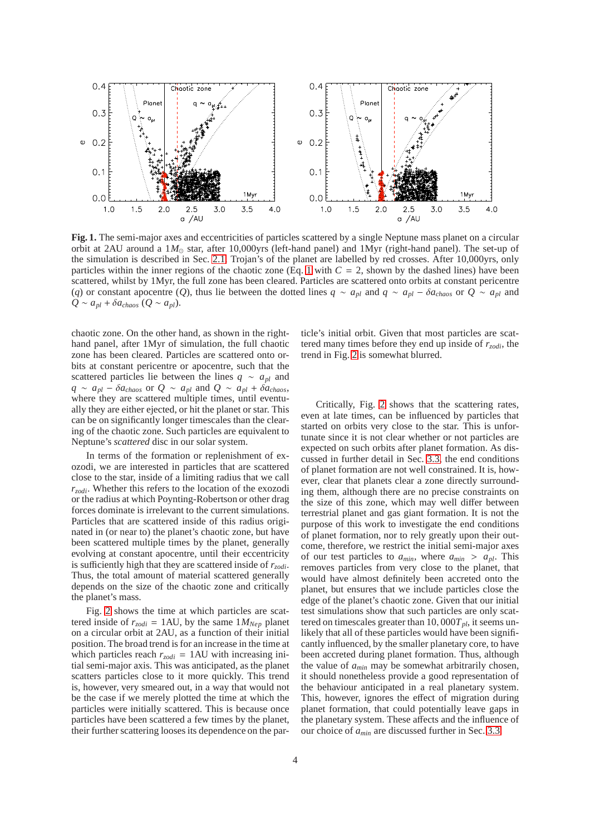

<span id="page-3-0"></span>**Fig. 1.** The semi-major axes and eccentricities of particles scattered by a single Neptune mass planet on a circular orbit at 2AU around a 1*M*<sup>⊙</sup> star, after 10,000yrs (left-hand panel) and 1Myr (right-hand panel). The set-up of the simulation is described in Sec. [2.1.](#page-2-0) Trojan's of the planet are labelled by red crosses. After 10,000yrs, only particles within the inner regions of the chaotic zone (Eq. [1](#page-2-1) with  $C = 2$ , shown by the dashed lines) have been scattered, whilst by 1Myr, the full zone has been cleared. Particles are scattered onto orbits at constant pericentre (*q*) or constant apocentre (*Q*), thus lie between the dotted lines  $q \sim a_{pl}$  and  $q \sim a_{pl} - \delta a_{chaos}$  or  $Q \sim a_{pl}$  and  $Q \sim a_{pl} + \delta a_{chaos} (Q \sim a_{pl}).$ 

chaotic zone. On the other hand, as shown in the righthand panel, after 1Myr of simulation, the full chaotic zone has been cleared. Particles are scattered onto orbits at constant pericentre or apocentre, such that the scattered particles lie between the lines  $q \sim a_{pl}$  and  $q \sim a_{pl} - \delta a_{chaos}$  or  $Q \sim a_{pl}$  and  $Q \sim a_{pl} + \delta a_{chaos}$ , where they are scattered multiple times, until eventually they are either ejected, or hit the planet or star. This can be on significantly longer timescales than the clearing of the chaotic zone. Such particles are equivalent to Neptune's *scattered* disc in our solar system.

In terms of the formation or replenishment of exozodi, we are interested in particles that are scattered close to the star, inside of a limiting radius that we call *rzodi*. Whether this refers to the location of the exozodi or the radius at which Poynting-Robertson or other drag forces dominate is irrelevant to the current simulations. Particles that are scattered inside of this radius originated in (or near to) the planet's chaotic zone, but have been scattered multiple times by the planet, generally evolving at constant apocentre, until their eccentricity is sufficiently high that they are scattered inside of *rzodi*. Thus, the total amount of material scattered generally depends on the size of the chaotic zone and critically the planet's mass.

Fig. [2](#page-2-2) shows the time at which particles are scattered inside of  $r_{zodi} = 1 \text{AU}$ , by the same  $1 M_{Nep}$  planet on a circular orbit at 2AU, as a function of their initial position. The broad trend is for an increase in the time at which particles reach  $r_{zodi} = 1 \text{AU}$  with increasing initial semi-major axis. This was anticipated, as the planet scatters particles close to it more quickly. This trend is, however, very smeared out, in a way that would not be the case if we merely plotted the time at which the particles were initially scattered. This is because once particles have been scattered a few times by the planet, their further scattering looses its dependence on the particle's initial orbit. Given that most particles are scattered many times before they end up inside of *rzodi*, the trend in Fig. [2](#page-2-2) is somewhat blurred.

Critically, Fig. [2](#page-2-2) shows that the scattering rates, even at late times, can be influenced by particles that started on orbits very close to the star. This is unfortunate since it is not clear whether or not particles are expected on such orbits after planet formation. As discussed in further detail in Sec. [3.3,](#page-7-0) the end conditions of planet formation are not well constrained. It is, however, clear that planets clear a zone directly surrounding them, although there are no precise constraints on the size of this zone, which may well differ between terrestrial planet and gas giant formation. It is not the purpose of this work to investigate the end conditions of planet formation, nor to rely greatly upon their outcome, therefore, we restrict the initial semi-major axes of our test particles to  $a_{min}$ , where  $a_{min} > a_{pl}$ . This removes particles from very close to the planet, that would have almost definitely been accreted onto the planet, but ensures that we include particles close the edge of the planet's chaotic zone. Given that our initial test simulations show that such particles are only scattered on timescales greater than  $10,000T_{pl}$ , it seems unlikely that all of these particles would have been significantly influenced, by the smaller planetary core, to have been accreted during planet formation. Thus, although the value of *amin* may be somewhat arbitrarily chosen, it should nonetheless provide a good representation of the behaviour anticipated in a real planetary system. This, however, ignores the effect of migration during planet formation, that could potentially leave gaps in the planetary system. These affects and the influence of our choice of *amin* are discussed further in Sec. [3.3.](#page-7-0)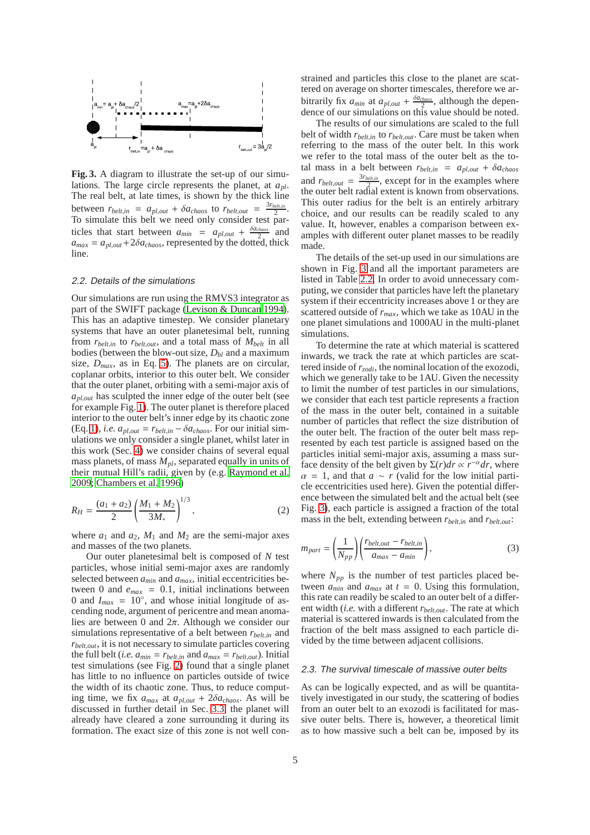

<span id="page-4-0"></span>**Fig. 3.** A diagram to illustrate the set-up of our simulations. The large circle represents the planet, at *apl*. The real belt, at late times, is shown by the thick line between  $r_{belt,in} = a_{pl,out} + \delta a_{chaos}$  to  $r_{belt,out} = \frac{3r_{belt,in}}{2}$ . To simulate this belt we need only consider test particles that start between  $a_{min} = a_{pl,out} + \frac{\delta a_{chaos}}{2}$  and  $a_{max} = a_{pl,out} + 2\delta a_{chaos}$ , represented by the dotted, thick line.

#### <span id="page-4-2"></span>2.2. Details of the simulations

Our simulations are run using the RMVS3 integrator as part of the SWIFT package [\(Levison & Duncan 1994\)](#page-18-39). This has an adaptive timestep. We consider planetary systems that have an outer planetesimal belt, running from  $r_{belt,in}$  to  $r_{belt,out}$ , and a total mass of  $M_{belt}$  in all bodies (between the blow-out size, *Dbl* and a maximum size,  $D_{max}$ , as in Eq. [5\)](#page-5-0). The planets are on circular, coplanar orbits, interior to this outer belt. We consider that the outer planet, orbiting with a semi-major axis of  $a<sub>pl,out</sub>$  has sculpted the inner edge of the outer belt (see for example Fig. [1\)](#page-3-0). The outer planet is therefore placed interior to the outer belt's inner edge by its chaotic zone (Eq. [1\)](#page-2-1), *i.e.*  $a_{pl,out} = r_{belt,in} - \delta a_{chaos}$ . For our initial simulations we only consider a single planet, whilst later in this work (Sec. [4\)](#page-8-0) we consider chains of several equal mass planets, of mass *Mpl*, separated equally in units of their mutual Hill's radii, given by (e.g. [Raymond et al.](#page-18-28) [2009;](#page-18-28) [Chambers et al. 1996\)](#page-18-40)

$$
R_H = \frac{(a_1 + a_2)}{2} \left(\frac{M_1 + M_2}{3M_*}\right)^{1/3},\tag{2}
$$

where  $a_1$  and  $a_2$ ,  $M_1$  and  $M_2$  are the semi-major axes and masses of the two planets.

Our outer planetesimal belt is composed of *N* test particles, whose initial semi-major axes are randomly selected between *amin* and *amax*, initial eccentricities between 0 and  $e_{max} = 0.1$ , initial inclinations between 0 and  $I_{max} = 10^\circ$ , and whose initial longitude of ascending node, argument of pericentre and mean anomalies are between 0 and  $2\pi$ . Although we consider our simulations representative of a belt between  $r_{belt,in}$  and *rbelt*,*out*, it is not necessary to simulate particles covering the full belt (*i.e.*  $a_{min} = r_{belt,in}$  and  $a_{max} = r_{belt,out}$ ). Initial test simulations (see Fig. [2\)](#page-2-2) found that a single planet has little to no influence on particles outside of twice the width of its chaotic zone. Thus, to reduce computing time, we fix  $a_{max}$  at  $a_{pl,out}$  +  $2\delta a_{chaos}$ . As will be discussed in further detail in Sec. [3.3,](#page-7-0) the planet will already have cleared a zone surrounding it during its formation. The exact size of this zone is not well constrained and particles this close to the planet are scattered on average on shorter timescales, therefore we arbitrarily fix  $a_{min}$  at  $a_{pl,out} + \frac{\delta a_{chaos}}{2}$ , although the dependence of our simulations on this value should be noted.

The results of our simulations are scaled to the full belt of width *rbelt*,*in* to *rbelt*,*out*. Care must be taken when referring to the mass of the outer belt. In this work we refer to the total mass of the outer belt as the total mass in a belt between  $r_{belt,in}$  =  $a_{pl,out}$  +  $\delta a_{chaos}$ and  $r_{belt,out} = \frac{3r_{belt,in}}{2}$ , except for in the examples where the outer belt radial extent is known from observations. This outer radius for the belt is an entirely arbitrary choice, and our results can be readily scaled to any value. It, however, enables a comparison between examples with different outer planet masses to be readily made.

The details of the set-up used in our simulations are shown in Fig. [3](#page-4-0) and all the important parameters are listed in Table [2.2.](#page-5-1) In order to avoid unnecessary computing, we consider that particles have left the planetary system if their eccentricity increases above 1 or they are scattered outside of *rmax*, which we take as 10AU in the one planet simulations and 1000AU in the multi-planet simulations.

To determine the rate at which material is scattered inwards, we track the rate at which particles are scattered inside of *rzodi*, the nominal location of the exozodi, which we generally take to be 1AU. Given the necessity to limit the number of test particles in our simulations, we consider that each test particle represents a fraction of the mass in the outer belt, contained in a suitable number of particles that reflect the size distribution of the outer belt. The fraction of the outer belt mass represented by each test particle is assigned based on the particles initial semi-major axis, assuming a mass surface density of the belt given by  $\Sigma(r)dr \propto r^{-\alpha}dr$ , where  $\alpha = 1$ , and that  $a \sim r$  (valid for the low initial particle eccentricities used here). Given the potential difference between the simulated belt and the actual belt (see Fig. [3\)](#page-4-0), each particle is assigned a fraction of the total mass in the belt, extending between *rbelt*,*in* and *rbelt*,*out*:

<span id="page-4-3"></span>
$$
m_{part} = \left(\frac{1}{N_{pp}}\right) \left(\frac{r_{belt,out} - r_{belt,in}}{a_{max} - a_{min}}\right),\tag{3}
$$

where  $N_{pp}$  is the number of test particles placed between  $a_{min}$  and  $a_{max}$  at  $t = 0$ . Using this formulation, this rate can readily be scaled to an outer belt of a different width (*i.e.* with a different *rbelt*,*out*. The rate at which material is scattered inwards is then calculated from the fraction of the belt mass assigned to each particle divided by the time between adjacent collisions.

#### <span id="page-4-1"></span>2.3. The survival timescale of massive outer belts

As can be logically expected, and as will be quantitatively investigated in our study, the scattering of bodies from an outer belt to an exozodi is facilitated for massive outer belts. There is, however, a theoretical limit as to how massive such a belt can be, imposed by its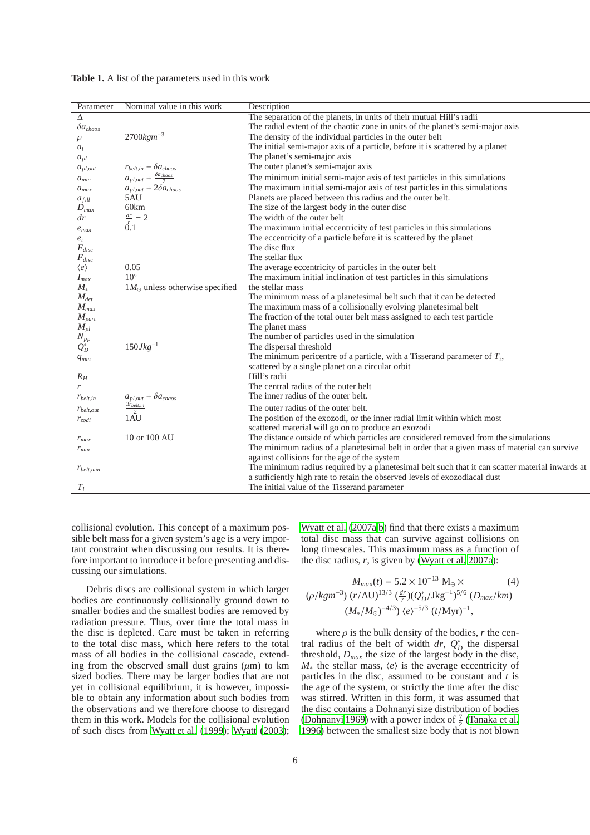| Parameter           | Nominal value in this work                | Description                                                                                     |
|---------------------|-------------------------------------------|-------------------------------------------------------------------------------------------------|
| Δ                   |                                           | The separation of the planets, in units of their mutual Hill's radii                            |
| $\delta a_{chaos}$  |                                           | The radial extent of the chaotic zone in units of the planet's semi-major axis                  |
| $\rho$              | $2700$ <i>kgm</i> <sup>-3</sup>           | The density of the individual particles in the outer belt                                       |
| $a_i$               |                                           | The initial semi-major axis of a particle, before it is scattered by a planet                   |
| $a_{pl}$            |                                           | The planet's semi-major axis                                                                    |
| $a_{pl,out}$        | $r_{belt,in} - \delta a_{chaos}$          | The outer planet's semi-major axis                                                              |
| $a_{min}$           | $a_{pl,out} + \frac{\delta a_{chaos}}{2}$ | The minimum initial semi-major axis of test particles in this simulations                       |
| $a_{max}$           | $a_{pl,out} + 2\delta a_{chaos}$          | The maximum initial semi-major axis of test particles in this simulations                       |
| $a_{fill}$          | 5AU                                       | Planets are placed between this radius and the outer belt.                                      |
| $D_{max}$           | 60km                                      | The size of the largest body in the outer disc                                                  |
| $\frac{dr}{}$       | $\frac{dr}{r} = 2$                        | The width of the outer belt                                                                     |
| $e_{max}$           | 0.1                                       | The maximum initial eccentricity of test particles in this simulations                          |
| $e_i$               |                                           | The eccentricity of a particle before it is scattered by the planet                             |
| $F_{disc}$          |                                           | The disc flux                                                                                   |
| $F_{disc}$          |                                           | The stellar flux                                                                                |
| $\langle e \rangle$ | 0.05                                      | The average eccentricity of particles in the outer belt                                         |
| $I_{max}$           | $10^{\circ}$                              | The maximum initial inclination of test particles in this simulations                           |
| $M_*$               | $1M_{\odot}$ unless otherwise specified   | the stellar mass                                                                                |
| $M_{det}$           |                                           | The minimum mass of a planetesimal belt such that it can be detected                            |
| $M_{max}$           |                                           | The maximum mass of a collisionally evolving planetesimal belt                                  |
| $M_{part}$          |                                           | The fraction of the total outer belt mass assigned to each test particle                        |
| $M_{pl}$            |                                           | The planet mass                                                                                 |
| $N_{pp}$            |                                           | The number of particles used in the simulation                                                  |
| $Q_D^*$             | $150Jkg^{-1}$                             | The dispersal threshold                                                                         |
| $q_{min}$           |                                           | The minimum pericentre of a particle, with a Tisserand parameter of $T_i$ ,                     |
|                     |                                           | scattered by a single planet on a circular orbit                                                |
| $R_H$               |                                           | Hill's radii                                                                                    |
| r                   |                                           | The central radius of the outer belt                                                            |
| $r_{belt,in}$       | $a_{pl,out} + \delta a_{chaos}$           | The inner radius of the outer belt.                                                             |
| $r_{belt,out}$      |                                           | The outer radius of the outer belt.                                                             |
| $r_{zodi}$          | $\frac{3r_{belt,in}}{1 \text{AU}}$        | The position of the exozodi, or the inner radial limit within which most                        |
|                     |                                           | scattered material will go on to produce an exozodi                                             |
| $r_{max}$           | 10 or 100 AU                              | The distance outside of which particles are considered removed from the simulations             |
| $r_{min}$           |                                           | The minimum radius of a planetesimal belt in order that a given mass of material can survive    |
|                     |                                           | against collisions for the age of the system                                                    |
| $r_{belt,min}$      |                                           | The minimum radius required by a planetesimal belt such that it can scatter material inwards at |
|                     |                                           | a sufficiently high rate to retain the observed levels of exozodiacal dust                      |
| $T_i$               |                                           | The initial value of the Tisserand parameter                                                    |
|                     |                                           |                                                                                                 |

<span id="page-5-1"></span>**Table 1.** A list of the parameters used in this work

collisional evolution. This concept of a maximum possible belt mass for a given system's age is a very important constraint when discussing our results. It is therefore important to introduce it before presenting and discussing our simulations.

Debris discs are collisional system in which larger bodies are continuously collisionally ground down to smaller bodies and the smallest bodies are removed by radiation pressure. Thus, over time the total mass in the disc is depleted. Care must be taken in referring to the total disc mass, which here refers to the total mass of all bodies in the collisional cascade, extending from the observed small dust grains  $(\mu m)$  to km sized bodies. There may be larger bodies that are not yet in collisional equilibrium, it is however, impossible to obtain any information about such bodies from the observations and we therefore choose to disregard them in this work. Models for the collisional evolution of such discs from [Wyatt et al. \(1999](#page-18-10)); [Wyatt](#page-18-41) [\(2003\)](#page-18-41);

[Wyatt et al. \(2007a](#page-18-15)[,b\)](#page-18-11) find that there exists a maximum total disc mass that can survive against collisions on long timescales. This maximum mass as a function of the disc radius,  $r$ , is given by [\(Wyatt et al. 2007a\)](#page-18-15):

<span id="page-5-0"></span>
$$
M_{max}(t) = 5.2 \times 10^{-13} \text{ M}_{\oplus} \times \qquad (4)
$$
  
( $\rho$ /kgm<sup>-3</sup>)  $(r/\text{AU})^{13/3} \left(\frac{dr}{r}\right) \left(Q_D^*/\text{Jkg}^{-1}\right)^{5/6} \left(D_{max}/km\right)$   
 $(M_*/M_{\odot})^{-4/3} \left(\frac{e}{r}\right)^{-5/3} \left(t/\text{Myr}\right)^{-1},$ 

where  $\rho$  is the bulk density of the bodies,  $r$  the central radius of the belt of width *dr*,  $Q_D^*$  the dispersal threshold, *Dmax* the size of the largest body in the disc,  $M_*$  the stellar mass,  $\langle e \rangle$  is the average eccentricity of particles in the disc, assumed to be constant and *t* is the age of the system, or strictly the time after the disc was stirred. Written in this form, it was assumed that the disc contains a Dohnanyi size distribution of bodies [\(Dohnanyi 1969](#page-18-42)) with a power index of  $\frac{7}{2}$  [\(Tanaka et al.](#page-18-43) [1996\)](#page-18-43) between the smallest size body that is not blown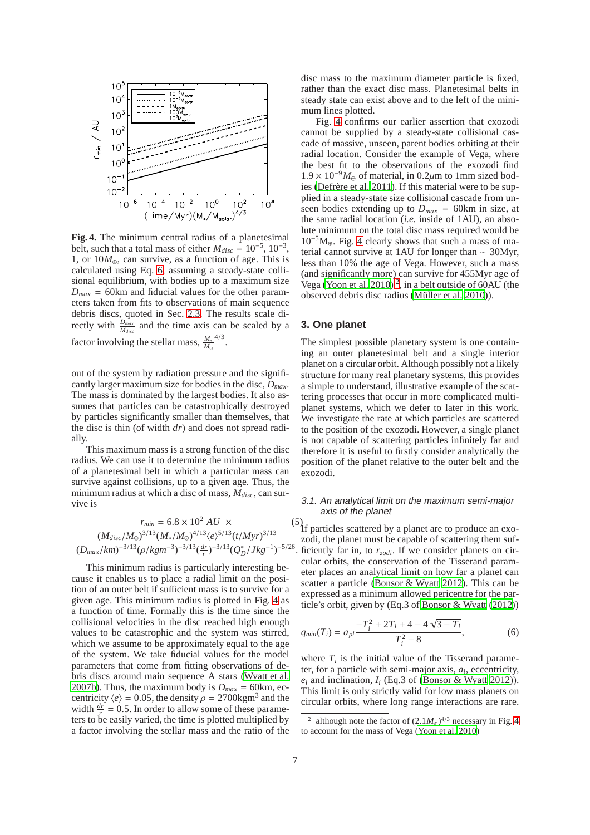

<span id="page-6-2"></span>**Fig. 4.** The minimum central radius of a planetesimal belt, such that a total mass of either  $M_{disc} = 10^{-5}$ ,  $10^{-3}$ , 1, or  $10M_{\oplus}$ , can survive, as a function of age. This is calculated using Eq. [6,](#page-6-1) assuming a steady-state collisional equilibrium, with bodies up to a maximum size  $D_{max}$  = 60km and fiducial values for the other parameters taken from fits to observations of main sequence debris discs, quoted in Sec. [2.3.](#page-4-1) The results scale directly with  $\frac{D_{max}}{M_{disc}}$  and the time axis can be scaled by a factor involving the stellar mass,  $\frac{M_*}{M_\odot}$  $\frac{4}{3}$ .

out of the system by radiation pressure and the significantly larger maximum size for bodies in the disc, *Dmax*. The mass is dominated by the largest bodies. It also assumes that particles can be catastrophically destroyed by particles significantly smaller than themselves, that the disc is thin (of width *dr*) and does not spread radially.

This maximum mass is a strong function of the disc radius. We can use it to determine the minimum radius of a planetesimal belt in which a particular mass can survive against collisions, up to a given age. Thus, the minimum radius at which a disc of mass, *Mdisc*, can survive is

<span id="page-6-1"></span>
$$
r_{min} = 6.8 \times 10^2 \, AU \times \tag{5}
$$
\n
$$
(M_{disc}/M_{\oplus})^{3/13} (M_*/M_{\odot})^{4/13} \langle e \rangle^{5/13} (t/Myr)^{3/13}
$$
\n
$$
(D_{max}/km)^{-3/13} (\rho/kgm^{-3})^{-3/13} (\frac{dr}{r})^{-3/13} (Q_D^*/Jkg^{-1})^{-5/26}.
$$

This minimum radius is particularly interesting because it enables us to place a radial limit on the position of an outer belt if sufficient mass is to survive for a given age. This minimum radius is plotted in Fig. [4](#page-6-2) as a function of time. Formally this is the time since the collisional velocities in the disc reached high enough values to be catastrophic and the system was stirred, which we assume to be approximately equal to the age of the system. We take fiducial values for the model parameters that come from fitting observations of debris discs around main sequence A stars [\(Wyatt et al.](#page-18-11) [2007b\)](#page-18-11). Thus, the maximum body is  $D_{max} = 60$ km, eccentricity  $\langle e \rangle = 0.05$ , the density  $\rho = 2700$ kgm<sup>3</sup> and the width  $\frac{dr}{r} = 0.5$ . In order to allow some of these parameters to be easily varied, the time is plotted multiplied by a factor involving the stellar mass and the ratio of the disc mass to the maximum diameter particle is fixed, rather than the exact disc mass. Planetesimal belts in steady state can exist above and to the left of the minimum lines plotted.

Fig. [4](#page-6-2) confirms our earlier assertion that exozodi cannot be supplied by a steady-state collisional cascade of massive, unseen, parent bodies orbiting at their radial location. Consider the example of Vega, where the best fit to the observations of the exozodi find  $1.9 \times 10^{-9} M_{\oplus}$  of material, in 0.2μm to 1mm sized bodies (Defrère et al. 2011). If this material were to be supplied in a steady-state size collisional cascade from unseen bodies extending up to  $D_{max} = 60 \text{km}$  in size, at the same radial location (*i.e.* inside of 1AU), an absolute minimum on the total disc mass required would be  $10^{-5}M_{\oplus}$ . Fig. [4](#page-6-2) clearly shows that such a mass of material cannot survive at 1AU for longer than ∼ 30Myr, less than 10% the age of Vega. However, such a mass (and significantly more) can survive for 455Myr age of Vega [\(Yoon et al. 2010\)](#page-18-44)<sup>[2](#page-6-3)</sup>, in a belt outside of 60AU (the observed debris disc radius (Müller et al. 2010)).

#### <span id="page-6-0"></span>**3. One planet**

The simplest possible planetary system is one containing an outer planetesimal belt and a single interior planet on a circular orbit. Although possibly not a likely structure for many real planetary systems, this provides a simple to understand, illustrative example of the scattering processes that occur in more complicated multiplanet systems, which we defer to later in this work. We investigate the rate at which particles are scattered to the position of the exozodi. However, a single planet is not capable of scattering particles infinitely far and therefore it is useful to firstly consider analytically the position of the planet relative to the outer belt and the exozodi.

## <span id="page-6-5"></span>3.1. An analytical limit on the maximum semi-major axis of the planet

. ficiently far in, to *rzodi*. If we consider planets on cir- $\binom{5}{1}$  particles scattered by a planet are to produce an exozodi, the planet must be capable of scattering them sufcular orbits, the conservation of the Tisserand parameter places an analytical limit on how far a planet can scatter a particle [\(Bonsor & Wyatt 2012](#page-18-32)). This can be expressed as a minimum allowed pericentre for the particle's orbit, given by (Eq.3 of [Bonsor & Wyatt](#page-18-32) [\(2012\)](#page-18-32))

<span id="page-6-4"></span>
$$
q_{min}(T_i) = a_{pl} \frac{-T_i^2 + 2T_i + 4 - 4\sqrt{3 - T_i}}{T_i^2 - 8},
$$
 (6)

where  $T_i$  is the initial value of the Tisserand parameter, for a particle with semi-major axis, *a<sup>i</sup>* , eccentricity,  $e_i$  and inclination,  $I_i$  (Eq.3 of [\(Bonsor & Wyatt 2012](#page-18-32))). This limit is only strictly valid for low mass planets on circular orbits, where long range interactions are rare.

<span id="page-6-3"></span><sup>&</sup>lt;sup>2</sup> although note the factor of  $(2.1M_{\oplus})^{4/3}$  necessary in Fig. [4](#page-6-2) to account for the mass of Vega [\(Yoon et al. 2010](#page-18-44))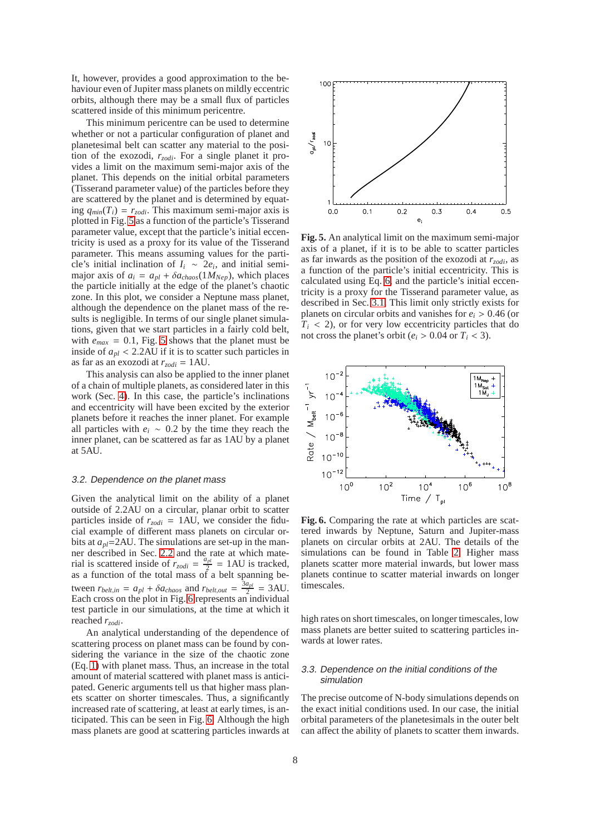It, however, provides a good approximation to the behaviour even of Jupiter mass planets on mildly eccentric orbits, although there may be a small flux of particles scattered inside of this minimum pericentre.

This minimum pericentre can be used to determine whether or not a particular configuration of planet and planetesimal belt can scatter any material to the position of the exozodi, *rzodi*. For a single planet it provides a limit on the maximum semi-major axis of the planet. This depends on the initial orbital parameters (Tisserand parameter value) of the particles before they are scattered by the planet and is determined by equating  $q_{min}(T_i) = r_{zodi}$ . This maximum semi-major axis is plotted in Fig. [5](#page-7-1) as a function of the particle's Tisserand parameter value, except that the particle's initial eccentricity is used as a proxy for its value of the Tisserand parameter. This means assuming values for the particle's initial inclination of  $I_i \sim 2e_i$ , and initial semimajor axis of  $a_i = a_{pl} + \delta a_{chaos}(1 M_{Nep})$ , which places the particle initially at the edge of the planet's chaotic zone. In this plot, we consider a Neptune mass planet, although the dependence on the planet mass of the results is negligible. In terms of our single planet simulations, given that we start particles in a fairly cold belt, with  $e_{max} = 0.1$ , Fig. [5](#page-7-1) shows that the planet must be inside of  $a_{pl}$  < 2.2AU if it is to scatter such particles in as far as an exozodi at  $r_{zodi} = 1 \text{AU}$ .

This analysis can also be applied to the inner planet of a chain of multiple planets, as considered later in this work (Sec. [4\)](#page-8-0). In this case, the particle's inclinations and eccentricity will have been excited by the exterior planets before it reaches the inner planet. For example all particles with  $e_i \sim 0.2$  by the time they reach the inner planet, can be scattered as far as 1AU by a planet at 5AU.

#### <span id="page-7-3"></span>3.2. Dependence on the planet mass

Given the analytical limit on the ability of a planet outside of 2.2AU on a circular, planar orbit to scatter particles inside of  $r_{zodi} = 1 \text{AU}$ , we consider the fiducial example of different mass planets on circular orbits at  $a_{nl}$ =2AU. The simulations are set-up in the manner described in Sec. [2.2](#page-4-2) and the rate at which material is scattered inside of  $r_{zodi} = \frac{a_{pl}}{2}$  $\frac{p_l}{2}$  = 1AU is tracked, as a function of the total mass of a belt spanning between  $r_{belt,in} = a_{pl} + \delta a_{chaos}$  and  $r_{belt,out} = \frac{3a_{pl}}{2}$  $rac{a_{pl}}{2}$  = 3AU. Each cross on the plot in Fig. [6](#page-7-2) represents an individual test particle in our simulations, at the time at which it reached *rzodi*.

An analytical understanding of the dependence of scattering process on planet mass can be found by considering the variance in the size of the chaotic zone (Eq. [1\)](#page-2-1) with planet mass. Thus, an increase in the total amount of material scattered with planet mass is anticipated. Generic arguments tell us that higher mass planets scatter on shorter timescales. Thus, a significantly increased rate of scattering, at least at early times, is anticipated. This can be seen in Fig. [6.](#page-7-2) Although the high mass planets are good at scattering particles inwards at



<span id="page-7-1"></span>**Fig. 5.** An analytical limit on the maximum semi-major axis of a planet, if it is to be able to scatter particles as far inwards as the position of the exozodi at  $r_{zodi}$ , as a function of the particle's initial eccentricity. This is calculated using Eq. [6,](#page-6-4) and the particle's initial eccentricity is a proxy for the Tisserand parameter value, as described in Sec. [3.1.](#page-6-5) This limit only strictly exists for planets on circular orbits and vanishes for  $e_i > 0.46$  (or  $T_i$  < 2), or for very low eccentricity particles that do not cross the planet's orbit ( $e_i$  > 0.04 or  $T_i$  < 3).



<span id="page-7-2"></span>**Fig. 6.** Comparing the rate at which particles are scattered inwards by Neptune, Saturn and Jupiter-mass planets on circular orbits at 2AU. The details of the simulations can be found in Table [2.](#page-9-0) Higher mass planets scatter more material inwards, but lower mass planets continue to scatter material inwards on longer timescales.

high rates on short timescales, on longer timescales, low mass planets are better suited to scattering particles inwards at lower rates.

## <span id="page-7-0"></span>3.3. Dependence on the initial conditions of the simulation

The precise outcome of N-body simulations depends on the exact initial conditions used. In our case, the initial orbital parameters of the planetesimals in the outer belt can affect the ability of planets to scatter them inwards.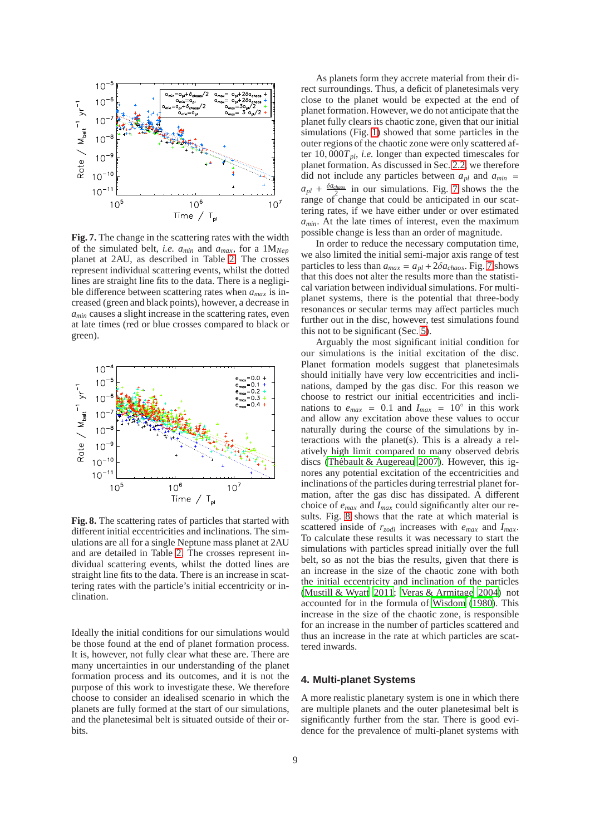

<span id="page-8-1"></span>**Fig. 7.** The change in the scattering rates with the width of the simulated belt, *i.e.*  $a_{min}$  and  $a_{max}$ , for a  $1M_{Nep}$ planet at 2AU, as described in Table [2.](#page-9-0) The crosses represent individual scattering events, whilst the dotted lines are straight line fits to the data. There is a negligible difference between scattering rates when *amax* is increased (green and black points), however, a decrease in *amin* causes a slight increase in the scattering rates, even at late times (red or blue crosses compared to black or green).



<span id="page-8-2"></span>**Fig. 8.** The scattering rates of particles that started with different initial eccentricities and inclinations. The simulations are all for a single Neptune mass planet at 2AU and are detailed in Table [2.](#page-9-0) The crosses represent individual scattering events, whilst the dotted lines are straight line fits to the data. There is an increase in scattering rates with the particle's initial eccentricity or inclination.

Ideally the initial conditions for our simulations would be those found at the end of planet formation process. It is, however, not fully clear what these are. There are many uncertainties in our understanding of the planet formation process and its outcomes, and it is not the purpose of this work to investigate these. We therefore choose to consider an idealised scenario in which the planets are fully formed at the start of our simulations, and the planetesimal belt is situated outside of their orbits.

As planets form they accrete material from their direct surroundings. Thus, a deficit of planetesimals very close to the planet would be expected at the end of planet formation. However, we do not anticipate that the planet fully clears its chaotic zone, given that our initial simulations (Fig. [1\)](#page-3-0) showed that some particles in the outer regions of the chaotic zone were only scattered after 10, 000*Tpl*, *i.e.* longer than expected timescales for planet formation. As discussed in Sec. [2.2,](#page-4-2) we therefore did not include any particles between  $a_{pl}$  and  $a_{min}$  =  $a_{pl} + \frac{\delta a_{chaos}}{2}$  in our simulations. Fig. [7](#page-8-1) shows the the range of change that could be anticipated in our scattering rates, if we have either under or over estimated *amin*. At the late times of interest, even the maximum possible change is less than an order of magnitude.

In order to reduce the necessary computation time, we also limited the initial semi-major axis range of test particles to less than  $a_{max} = a_{pl} + 2\delta a_{chaos}$ . Fig. [7](#page-8-1) shows that this does not alter the results more than the statistical variation between individual simulations. For multiplanet systems, there is the potential that three-body resonances or secular terms may affect particles much further out in the disc, however, test simulations found this not to be significant (Sec. [5\)](#page-15-0).

Arguably the most significant initial condition for our simulations is the initial excitation of the disc. Planet formation models suggest that planetesimals should initially have very low eccentricities and inclinations, damped by the gas disc. For this reason we choose to restrict our initial eccentricities and inclinations to  $e_{max} = 0.1$  and  $I_{max} = 10°$  in this work and allow any excitation above these values to occur naturally during the course of the simulations by interactions with the planet(s). This is a already a relatively high limit compared to many observed debris discs (Thébault & Augereau 2007). However, this ignores any potential excitation of the eccentricities and inclinations of the particles during terrestrial planet formation, after the gas disc has dissipated. A different choice of *emax* and *Imax* could significantly alter our results. Fig. [8](#page-8-2) shows that the rate at which material is scattered inside of *rzodi* increases with *emax* and *Imax*. To calculate these results it was necessary to start the simulations with particles spread initially over the full belt, so as not the bias the results, given that there is an increase in the size of the chaotic zone with both the initial eccentricity and inclination of the particles [\(Mustill & Wyatt 2011;](#page-18-47) [Veras & Armitage 2004](#page-18-48)) not accounted for in the formula of [Wisdom \(1980\)](#page-18-37). This increase in the size of the chaotic zone, is responsible for an increase in the number of particles scattered and thus an increase in the rate at which particles are scattered inwards.

# <span id="page-8-0"></span>**4. Multi-planet Systems**

A more realistic planetary system is one in which there are multiple planets and the outer planetesimal belt is significantly further from the star. There is good evidence for the prevalence of multi-planet systems with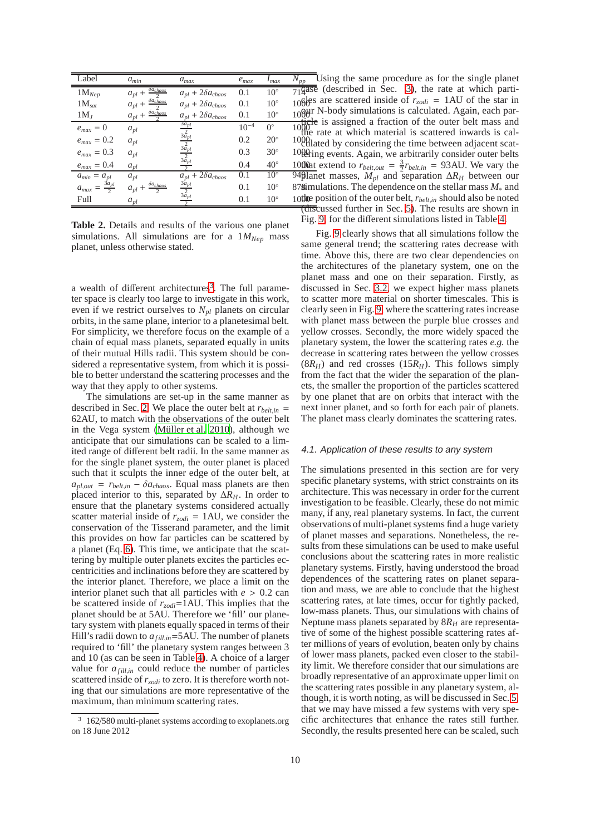| Label                            | $a_{min}$                                          | $a_{max}$                                           | $e_{max}$ | $I_{max}$    | $N_{\underline{p}\underline{p}}$ |
|----------------------------------|----------------------------------------------------|-----------------------------------------------------|-----------|--------------|----------------------------------|
| $1M_{Nep}$                       | $\delta a_{chaos}$<br>$a_{pl}$ +                   | $a_{pl} + 2\delta a_{chaos}$                        | 0.1       | $10^{\circ}$ | 719a                             |
| $1M_{sat}$                       | $\delta a_{chaos}$<br>$a_{pl}$ +                   | $a_{pl} + 2\delta a_{chaos}$                        | 0.1       | $10^{\circ}$ | 1066                             |
| $1M_J$                           | $\delta a_{chaos}$<br>$a_{pl}$ +                   | $a_{pl} + 2\delta a_{chaos}$                        | 0.1       | $10^{\circ}$ | 1000                             |
| $e_{max}=0$                      | $a_{pl}$                                           |                                                     | $10^{-4}$ | $0^{\circ}$  | 1000                             |
| $e_{max}=0.2$                    | $a_{pl}$                                           | $\frac{3a_{pl}}{3a_{pl}}$ $\frac{3a_{pl}}{3a_{pl}}$ | 0.2       | $20^{\circ}$ | 1000                             |
| $e_{max}=0.3$                    | $\mathfrak{a}_{pl}$                                |                                                     | 0.3       | $30^\circ$   | 1000                             |
| $e_{max}=0.4\,$                  | $a_{pl}$                                           |                                                     | 0.4       | $40^{\circ}$ | 1000                             |
| $a_{min} = a_{pl}$               | $a_{pl}$                                           | $\overline{a_{pl}+2\delta a_{chaos}}$               | 0.1       | $10^{\circ}$ | 9491                             |
| $rac{3a_{pl}}{2}$<br>$a_{max}$ = | $\delta a_{chaos}$<br>$a_{pl}$ +<br>$\overline{2}$ | $\frac{3a_{pl}}{3a_{pl}}$                           | 0.1       | $10^{\circ}$ | 87 <b>8</b> i                    |
| Full                             | $a_{pl}$                                           |                                                     | 0.1       | $10^{\circ}$ | 10 <sup>th</sup>                 |

<span id="page-9-0"></span>**Table 2.** Details and results of the various one planet simulations. All simulations are for a  $1M_{Nep}$  mass planet, unless otherwise stated.

a wealth of different architectures<sup>[3](#page-9-1)</sup>. The full parameter space is clearly too large to investigate in this work, even if we restrict ourselves to *Npl* planets on circular orbits, in the same plane, interior to a planetesimal belt. For simplicity, we therefore focus on the example of a chain of equal mass planets, separated equally in units of their mutual Hills radii. This system should be considered a representative system, from which it is possible to better understand the scattering processes and the way that they apply to other systems.

The simulations are set-up in the same manner as described in Sec. [2.](#page-1-0) We place the outer belt at  $r_{belt}$  = 62AU, to match with the observations of the outer belt in the Vega system (Müller et al. 2010), although we anticipate that our simulations can be scaled to a limited range of different belt radii. In the same manner as for the single planet system, the outer planet is placed such that it sculpts the inner edge of the outer belt, at  $a_{pl,out}$  =  $r_{belt,in}$  –  $\delta a_{chaos}$ . Equal mass planets are then placed interior to this, separated by ∆*RH*. In order to ensure that the planetary systems considered actually scatter material inside of  $r_{zodi} = 1AU$ , we consider the conservation of the Tisserand parameter, and the limit this provides on how far particles can be scattered by a planet (Eq. [6\)](#page-6-4). This time, we anticipate that the scattering by multiple outer planets excites the particles eccentricities and inclinations before they are scattered by the interior planet. Therefore, we place a limit on the interior planet such that all particles with  $e > 0.2$  can be scattered inside of *rzodi*=1AU. This implies that the planet should be at 5AU. Therefore we 'fill' our planetary system with planets equally spaced in terms of their Hill's radii down to  $a_{fill,in}$ =5AU. The number of planets required to 'fill' the planetary system ranges between 3 and 10 (as can be seen in Table [4\)](#page-10-0). A choice of a larger value for  $a_{fill,in}$  could reduce the number of particles scattered inside of *rzodi* to zero. It is therefore worth noting that our simulations are more representative of the maximum, than minimum scattering rates.

 $a_{pl} + 2\delta a_{chaos}$  0.1 10◦ 1000H N-body simulations is calculated. Again, each par- $\frac{1000}{\pi}$  1000 s rate at which material is contrared inwards is called  $0.2$  20° 10  $\theta$ lated by considering the time between adjacent scat-0.3 30° 10tH ing events. Again, we arbitrarily consider outer belts 0.4  $40^\circ$  1000 at extend to  $r_{belt,out} = \frac{3}{2}r_{belt,in} = 93 \text{AU}$ . We vary the 0.1 10◦ 878 simulations. The dependence on the stellar mass *M*<sup>∗</sup> and  $0.1$  10<sup>°</sup> 10the position of the outer belt,  $r_{belt,in}$  should also be noted  $\overline{N_{pp}}$  Using the same procedure as for the single planet  $\overline{719}$  (described in Sec. [3\)](#page-6-0), the rate at which parti-106 ges are scattered inside of  $r_{zodi} = 1 \text{AU}$  of the star in the rate at which material is scattered inwards is calplanet masses, *Mpl* and separation ∆*R<sup>H</sup>* between our (discussed further in Sec. [5\)](#page-15-0). The results are shown in Fig. [9,](#page-10-0) for the different simulations listed in Table [4.](#page-10-0)

> Fig. [9](#page-10-0) clearly shows that all simulations follow the same general trend; the scattering rates decrease with time. Above this, there are two clear dependencies on the architectures of the planetary system, one on the planet mass and one on their separation. Firstly, as discussed in Sec. [3.2,](#page-7-3) we expect higher mass planets to scatter more material on shorter timescales. This is clearly seen in Fig. [9,](#page-10-0) where the scattering rates increase with planet mass between the purple blue crosses and yellow crosses. Secondly, the more widely spaced the planetary system, the lower the scattering rates *e.g.* the decrease in scattering rates between the yellow crosses  $(8R<sub>H</sub>)$  and red crosses  $(15R<sub>H</sub>)$ . This follows simply from the fact that the wider the separation of the planets, the smaller the proportion of the particles scattered by one planet that are on orbits that interact with the next inner planet, and so forth for each pair of planets. The planet mass clearly dominates the scattering rates.

#### <span id="page-9-2"></span>4.1. Application of these results to any system

The simulations presented in this section are for very specific planetary systems, with strict constraints on its architecture. This was necessary in order for the current investigation to be feasible. Clearly, these do not mimic many, if any, real planetary systems. In fact, the current observations of multi-planet systems find a huge variety of planet masses and separations. Nonetheless, the results from these simulations can be used to make useful conclusions about the scattering rates in more realistic planetary systems. Firstly, having understood the broad dependences of the scattering rates on planet separation and mass, we are able to conclude that the highest scattering rates, at late times, occur for tightly packed, low-mass planets. Thus, our simulations with chains of Neptune mass planets separated by 8*R<sup>H</sup>* are representative of some of the highest possible scattering rates after millions of years of evolution, beaten only by chains of lower mass planets, packed even closer to the stability limit. We therefore consider that our simulations are broadly representative of an approximate upper limit on the scattering rates possible in any planetary system, although, it is worth noting, as will be discussed in Sec. [5,](#page-15-0) that we may have missed a few systems with very specific architectures that enhance the rates still further. Secondly, the results presented here can be scaled, such

<span id="page-9-1"></span><sup>&</sup>lt;sup>3</sup> 162/580 multi-planet systems according to exoplanets.org on 18 June 2012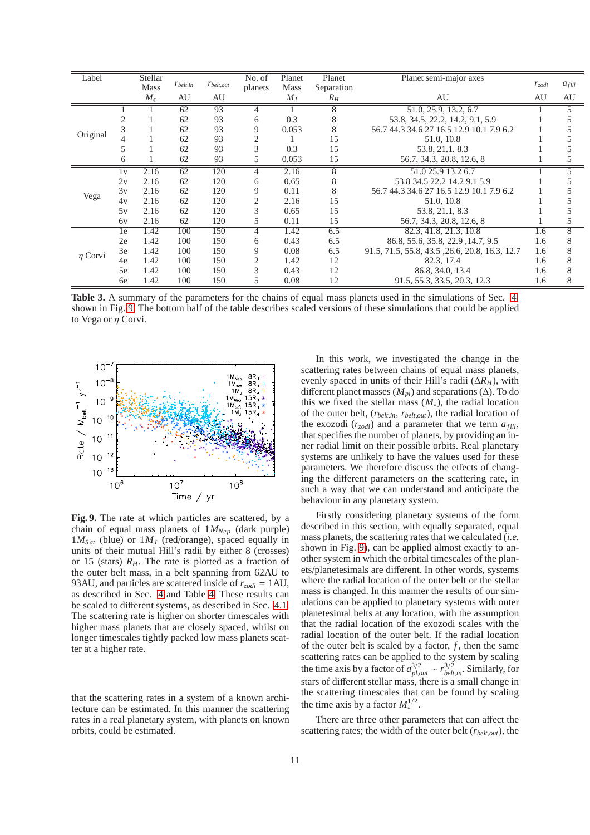| Label        |    | Stellar     |               |                | No. of         | Planet<br>Planet | Planet semi-major axes |                                                |            |            |
|--------------|----|-------------|---------------|----------------|----------------|------------------|------------------------|------------------------------------------------|------------|------------|
|              |    | <b>Mass</b> | $r_{belt,in}$ | $r_{belt,out}$ | planets        | <b>Mass</b>      | Separation             |                                                | $r_{zodi}$ | $a_{fill}$ |
|              |    | $M_\oplus$  | AU            | AU             |                | $M_J$            | $R_H$                  | AU                                             | AU         | AU         |
| Original     |    |             | 62            | 93             | 4              |                  | 8                      | 51.0, 25.9, 13.2, 6.7                          |            |            |
|              |    |             | 62            | 93             | 6              | 0.3              | 8                      | 53.8, 34.5, 22.2, 14.2, 9.1, 5.9               |            |            |
|              |    |             | 62            | 93             | 9              | 0.053            | 8                      | 56.7 44.3 34.6 27 16.5 12.9 10.1 7.9 6.2       |            |            |
|              |    |             | 62            | 93             |                |                  | 15                     | 51.0, 10.8                                     |            |            |
|              |    |             | 62            | 93             |                | 0.3              | 15                     | 53.8, 21.1, 8.3                                |            |            |
|              |    |             | 62            | 93             |                | 0.053            | 15                     | 56.7, 34.3, 20.8, 12.6, 8                      |            |            |
| Vega         | 1v | 2.16        | 62            | 120            |                | 2.16             | 8                      | 51.0 25.9 13.2 6.7                             |            |            |
|              | 2v | 2.16        | 62            | 120            | 6              | 0.65             | 8                      | 53.8 34.5 22.2 14.2 9.1 5.9                    |            |            |
|              | 3v | 2.16        | 62            | 120            | 9              | 0.11             | 8                      | 56.7 44.3 34.6 27 16.5 12.9 10.1 7.9 6.2       |            |            |
|              | 4v | 2.16        | 62            | 120            | $\overline{c}$ | 2.16             | 15                     | 51.0, 10.8                                     |            |            |
|              | 5v | 2.16        | 62            | 120            | 3              | 0.65             | 15                     | 53.8, 21.1, 8.3                                |            |            |
|              | 6v | 2.16        | 62            | 120            | 5              | 0.11             | 15                     | 56.7, 34.3, 20.8, 12.6, 8                      |            |            |
| $\eta$ Corvi | 1e | 1.42        | 100           | 150            | 4              | 1.42             | 6.5                    | 82.3, 41.8, 21.3, 10.8                         | 1.6        | 8          |
|              | 2e | 1.42        | 100           | 150            | 6              | 0.43             | 6.5                    | 86.8, 55.6, 35.8, 22.9, 14.7, 9.5              | 1.6        | 8          |
|              | 3e | 1.42        | 100           | 150            | 9              | 0.08             | 6.5                    | 91.5, 71.5, 55.8, 43.5, 26.6, 20.8, 16.3, 12.7 | 1.6        | 8          |
|              | 4e | 1.42        | 100           | 150            | $\overline{2}$ | 1.42             | 12                     | 82.3.17.4                                      | 1.6        | 8          |
|              | 5e | 1.42        | 100           | 150            | 3              | 0.43             | 12                     | 86.8, 34.0, 13.4                               | 1.6        | 8          |
|              | 6e | 1.42        | 100           | 150            | 5              | 0.08             | 12                     | 91.5, 55.3, 33.5, 20.3, 12.3                   | 1.6        | 8          |

**Table 3.** A summary of the parameters for the chains of equal mass planets used in the simulations of Sec. [4,](#page-8-0) shown in Fig. [9.](#page-10-0) The bottom half of the table describes scaled versions of these simulations that could be applied to Vega or  $\eta$  Corvi.



<span id="page-10-0"></span>**Fig. 9.** The rate at which particles are scattered, by a chain of equal mass planets of 1*MNep* (dark purple)  $1M_{Sat}$  (blue) or  $1M_J$  (red/orange), spaced equally in units of their mutual Hill's radii by either 8 (crosses) or 15 (stars)  $R<sub>H</sub>$ . The rate is plotted as a fraction of the outer belt mass, in a belt spanning from 62AU to 93AU, and particles are scattered inside of  $r_{zodi} = 1AU$ , as described in Sec. [4](#page-8-0) and Table [4.](#page-10-0) These results can be scaled to different systems, as described in Sec. [4.1.](#page-9-2) The scattering rate is higher on shorter timescales with higher mass planets that are closely spaced, whilst on longer timescales tightly packed low mass planets scatter at a higher rate.

that the scattering rates in a system of a known architecture can be estimated. In this manner the scattering rates in a real planetary system, with planets on known orbits, could be estimated.

In this work, we investigated the change in the scattering rates between chains of equal mass planets, evenly spaced in units of their Hill's radii (∆*RH*), with different planet masses ( $M_{pl}$ ) and separations ( $\Delta$ ). To do this we fixed the stellar mass  $(M_*)$ , the radial location of the outer belt, (*rbelt*,*in*, *rbelt*,*out*), the radial location of the exozodi  $(r_{zodi})$  and a parameter that we term  $a_{fill}$ , that specifies the number of planets, by providing an inner radial limit on their possible orbits. Real planetary systems are unlikely to have the values used for these parameters. We therefore discuss the effects of changing the different parameters on the scattering rate, in such a way that we can understand and anticipate the behaviour in any planetary system.

Firstly considering planetary systems of the form described in this section, with equally separated, equal mass planets, the scattering rates that we calculated (*i.e.* shown in Fig. [9\)](#page-10-0), can be applied almost exactly to another system in which the orbital timescales of the planets/planetesimals are different. In other words, systems where the radial location of the outer belt or the stellar mass is changed. In this manner the results of our simulations can be applied to planetary systems with outer planetesimal belts at any location, with the assumption that the radial location of the exozodi scales with the radial location of the outer belt. If the radial location of the outer belt is scaled by a factor,  $f$ , then the same scattering rates can be applied to the system by scaling the time axis by a factor of  $a_{pl,out}^{3/2} \sim r_{belt,in}^{3/2}$ . Similarly, for stars of different stellar mass, there is a small change in the scattering timescales that can be found by scaling the time axis by a factor  $M_*^{1/2}$  $\frac{1}{2}$ .

There are three other parameters that can affect the scattering rates; the width of the outer belt (*rbelt*,*out*), the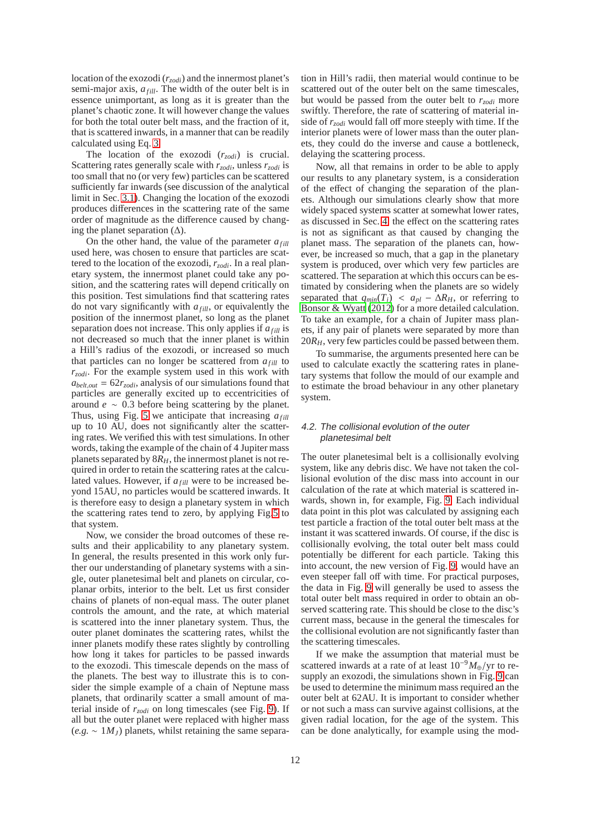location of the exozodi (*rzodi*) and the innermost planet's semi-major axis,  $a_{fill}$ . The width of the outer belt is in essence unimportant, as long as it is greater than the planet's chaotic zone. It will however change the values for both the total outer belt mass, and the fraction of it, that is scattered inwards, in a manner that can be readily calculated using Eq. [3.](#page-4-3)

The location of the exozodi (*rzodi*) is crucial. Scattering rates generally scale with *rzodi*, unless *rzodi* is too small that no (or very few) particles can be scattered sufficiently far inwards (see discussion of the analytical limit in Sec. [3.1\)](#page-6-5). Changing the location of the exozodi produces differences in the scattering rate of the same order of magnitude as the difference caused by changing the planet separation  $(∆)$ .

On the other hand, the value of the parameter  $a_{fill}$ used here, was chosen to ensure that particles are scattered to the location of the exozodi, *rzodi*. In a real planetary system, the innermost planet could take any position, and the scattering rates will depend critically on this position. Test simulations find that scattering rates do not vary significantly with  $a_{fill}$ , or equivalently the position of the innermost planet, so long as the planet separation does not increase. This only applies if  $a_{full}$  is not decreased so much that the inner planet is within a Hill's radius of the exozodi, or increased so much that particles can no longer be scattered from  $a_{fill}$  to *rzodi*. For the example system used in this work with  $a_{belt,out} = 62r_{zodi}$ , analysis of our simulations found that particles are generally excited up to eccentricities of around *e* ∼ 0.3 before being scattering by the planet. Thus, using Fig. [5](#page-7-1) we anticipate that increasing  $a_{full}$ up to 10 AU, does not significantly alter the scattering rates. We verified this with test simulations. In other words, taking the example of the chain of 4 Jupiter mass planets separated by  $8R<sub>H</sub>$ , the innermost planet is not required in order to retain the scattering rates at the calculated values. However, if  $a_{fill}$  were to be increased beyond 15AU, no particles would be scattered inwards. It is therefore easy to design a planetary system in which the scattering rates tend to zero, by applying Fig[.5](#page-7-1) to that system.

Now, we consider the broad outcomes of these results and their applicability to any planetary system. In general, the results presented in this work only further our understanding of planetary systems with a single, outer planetesimal belt and planets on circular, coplanar orbits, interior to the belt. Let us first consider chains of planets of non-equal mass. The outer planet controls the amount, and the rate, at which material is scattered into the inner planetary system. Thus, the outer planet dominates the scattering rates, whilst the inner planets modify these rates slightly by controlling how long it takes for particles to be passed inwards to the exozodi. This timescale depends on the mass of the planets. The best way to illustrate this is to consider the simple example of a chain of Neptune mass planets, that ordinarily scatter a small amount of material inside of *rzodi* on long timescales (see Fig. [9\)](#page-10-0). If all but the outer planet were replaced with higher mass  $(e.g. ~ 1 M_J)$  planets, whilst retaining the same separation in Hill's radii, then material would continue to be scattered out of the outer belt on the same timescales, but would be passed from the outer belt to *rzodi* more swiftly. Therefore, the rate of scattering of material inside of *rzodi* would fall off more steeply with time. If the interior planets were of lower mass than the outer planets, they could do the inverse and cause a bottleneck, delaying the scattering process.

Now, all that remains in order to be able to apply our results to any planetary system, is a consideration of the effect of changing the separation of the planets. Although our simulations clearly show that more widely spaced systems scatter at somewhat lower rates, as discussed in Sec. [4,](#page-8-0) the effect on the scattering rates is not as significant as that caused by changing the planet mass. The separation of the planets can, however, be increased so much, that a gap in the planetary system is produced, over which very few particles are scattered. The separation at which this occurs can be estimated by considering when the planets are so widely separated that  $q_{min}(T_i) < a_{pl} - \Delta R_H$ , or referring to [Bonsor & Wyatt \(2012\)](#page-18-32) for a more detailed calculation. To take an example, for a chain of Jupiter mass planets, if any pair of planets were separated by more than 20*RH*, very few particles could be passed between them.

To summarise, the arguments presented here can be used to calculate exactly the scattering rates in planetary systems that follow the mould of our example and to estimate the broad behaviour in any other planetary system.

## 4.2. The collisional evolution of the outer planetesimal belt

The outer planetesimal belt is a collisionally evolving system, like any debris disc. We have not taken the collisional evolution of the disc mass into account in our calculation of the rate at which material is scattered inwards, shown in, for example, Fig. [9.](#page-10-0) Each individual data point in this plot was calculated by assigning each test particle a fraction of the total outer belt mass at the instant it was scattered inwards. Of course, if the disc is collisionally evolving, the total outer belt mass could potentially be different for each particle. Taking this into account, the new version of Fig. [9,](#page-10-0) would have an even steeper fall off with time. For practical purposes, the data in Fig. [9](#page-10-0) will generally be used to assess the total outer belt mass required in order to obtain an observed scattering rate. This should be close to the disc's current mass, because in the general the timescales for the collisional evolution are not significantly faster than the scattering timescales.

If we make the assumption that material must be scattered inwards at a rate of at least 10−9*M*⊕/yr to resupply an exozodi, the simulations shown in Fig. [9](#page-10-0) can be used to determine the minimum mass required an the outer belt at 62AU. It is important to consider whether or not such a mass can survive against collisions, at the given radial location, for the age of the system. This can be done analytically, for example using the mod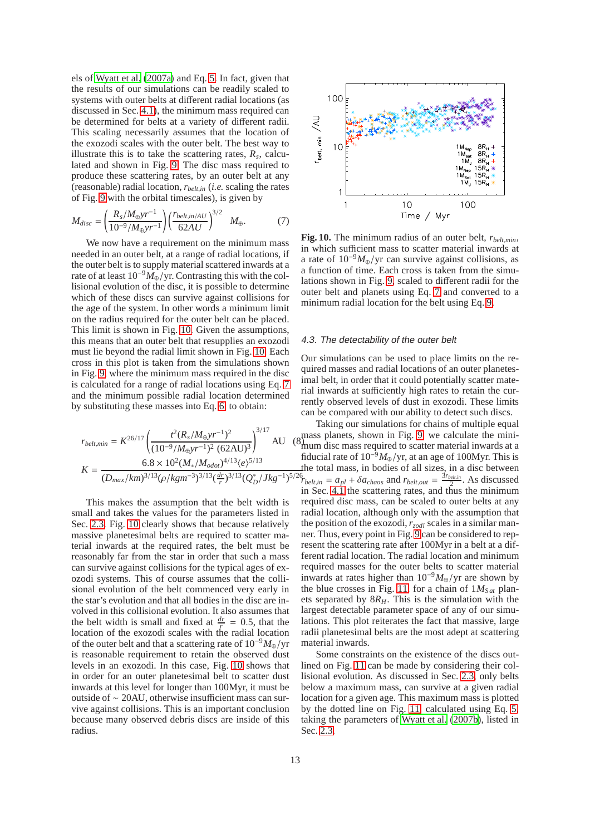els of [Wyatt et al. \(2007a\)](#page-18-15) and Eq. [5.](#page-5-0) In fact, given that the results of our simulations can be readily scaled to systems with outer belts at different radial locations (as discussed in Sec. [4.1\)](#page-9-2), the minimum mass required can be determined for belts at a variety of different radii. This scaling necessarily assumes that the location of the exozodi scales with the outer belt. The best way to illustrate this is to take the scattering rates,  $R_s$ , calculated and shown in Fig. [9.](#page-10-0) The disc mass required to produce these scattering rates, by an outer belt at any (reasonable) radial location, *rbelt*,*in* (*i.e.* scaling the rates of Fig. [9](#page-10-0) with the orbital timescales), is given by

<span id="page-12-1"></span>
$$
M_{disc} = \left(\frac{R_s/M_{\oplus}yr^{-1}}{10^{-9}/M_{\oplus}yr^{-1}}\right) \left(\frac{r_{belt,in/AU}}{62AU}\right)^{3/2} M_{\oplus}.
$$
 (7)

We now have a requirement on the minimum mass needed in an outer belt, at a range of radial locations, if the outer belt is to supply material scattered inwards at a rate of at least 10−9*M*⊕/yr. Contrasting this with the collisional evolution of the disc, it is possible to determine which of these discs can survive against collisions for the age of the system. In other words a minimum limit on the radius required for the outer belt can be placed. This limit is shown in Fig. [10.](#page-12-0) Given the assumptions, this means that an outer belt that resupplies an exozodi must lie beyond the radial limit shown in Fig. [10.](#page-12-0) Each cross in this plot is taken from the simulations shown in Fig. [9,](#page-10-0) where the minimum mass required in the disc is calculated for a range of radial locations using Eq. [7](#page-12-1) and the minimum possible radial location determined by substituting these masses into Eq. [6,](#page-6-1) to obtain:

<span id="page-12-2"></span>
$$
r_{belt,min} = K^{26/17} \left( \frac{t^2 (R_s / M_{\oplus} yr^{-1})^2}{(10^{-9} / M_{\oplus} yr^{-1})^2 (62 \text{AU})^3} \right)^{3/17} \text{AU}
$$
\n
$$
K = \frac{6.8 \times 10^2 (M_*/ M_{odot})^{4/13} (e)^{5/13}}{(D_{max}/km)^{3/13} (\rho / kgm^{-3})^{3/13} (\frac{dr}{r})^{3/13} (Q_D^*) / Jkg^{-1})^{5/13}}
$$

This makes the assumption that the belt width is small and takes the values for the parameters listed in Sec. [2.3.](#page-4-1) Fig. [10](#page-12-0) clearly shows that because relatively massive planetesimal belts are required to scatter material inwards at the required rates, the belt must be reasonably far from the star in order that such a mass can survive against collisions for the typical ages of exozodi systems. This of course assumes that the collisional evolution of the belt commenced very early in the star's evolution and that all bodies in the disc are involved in this collisional evolution. It also assumes that the belt width is small and fixed at  $\frac{dr}{f} = 0.5$ , that the location of the exozodi scales with the radial location of the outer belt and that a scattering rate of 10−9*M*⊕/yr is reasonable requirement to retain the observed dust levels in an exozodi. In this case, Fig. [10](#page-12-0) shows that in order for an outer planetesimal belt to scatter dust inwards at this level for longer than 100Myr, it must be outside of ∼ 20AU, otherwise insufficient mass can survive against collisions. This is an important conclusion because many observed debris discs are inside of this radius.



<span id="page-12-0"></span>**Fig. 10.** The minimum radius of an outer belt, *rbelt*,*min*, in which sufficient mass to scatter material inwards at a rate of  $10^{-9}M_{\oplus}/yr$  can survive against collisions, as a function of time. Each cross is taken from the simulations shown in Fig. [9,](#page-10-0) scaled to different radii for the outer belt and planets using Eq. [7](#page-12-1) and converted to a minimum radial location for the belt using Eq. [9.](#page-12-2)

#### <span id="page-12-3"></span>4.3. The detectability of the outer belt

Our simulations can be used to place limits on the required masses and radial locations of an outer planetesimal belt, in order that it could potentially scatter material inwards at sufficiently high rates to retain the currently observed levels of dust in exozodi. These limits can be compared with our ability to detect such discs.

AU ( $8<sub>num</sub>$  disc mass required to scatter material inwards at a the total mass, in bodies of all sizes, in a disc between<br> $\frac{5}{26}$  =  $\frac{2}{5}$  =  $\frac{5}{6}$  =  $\frac{2}{5}$  =  $\frac{1}{2}$  =  $\frac{5}{4}$  =  $\frac{1}{2}$   $\frac{5}{2}$  =  $\frac{1}{2}$   $\frac{5}{2}$  =  $\frac{1}{2}$   $\frac{5}{2}$  =  $\frac{1}{2}$   $\frac{5}{2}$  =  $\$ Taking our simulations for chains of multiple equal mum disc mass required to scatter material inwards at a fiducial rate of  $10^{-9}M_{\oplus}/yr$ , at an age of 100Myr. This is  $r_{belt,in} = a_{pl} + \delta a_{chaos}$  and  $r_{belt,out} = \frac{3r_{belt,in}}{2}$ . As discussed in Sec. [4.1](#page-9-2) the scattering rates, and thus the minimum required disc mass, can be scaled to outer belts at any radial location, although only with the assumption that the position of the exozodi,*rzodi* scales in a similar manner. Thus, every point in Fig. [9](#page-10-0) can be considered to represent the scattering rate after 100Myr in a belt at a different radial location. The radial location and minimum required masses for the outer belts to scatter material inwards at rates higher than 10−<sup>9</sup>*M*⊕/yr are shown by the blue crosses in Fig. [11,](#page-13-0) for a chain of  $1M<sub>Sat</sub>$  planets separated by  $8R<sub>H</sub>$ . This is the simulation with the largest detectable parameter space of any of our simulations. This plot reiterates the fact that massive, large radii planetesimal belts are the most adept at scattering material inwards.

> Some constraints on the existence of the discs outlined on Fig. [11](#page-13-0) can be made by considering their collisional evolution. As discussed in Sec. [2.3,](#page-4-1) only belts below a maximum mass, can survive at a given radial location for a given age. This maximum mass is plotted by the dotted line on Fig. [11,](#page-13-0) calculated using Eq. [5,](#page-5-0) taking the parameters of [Wyatt et al. \(2007b\)](#page-18-11), listed in Sec. [2.3.](#page-4-1)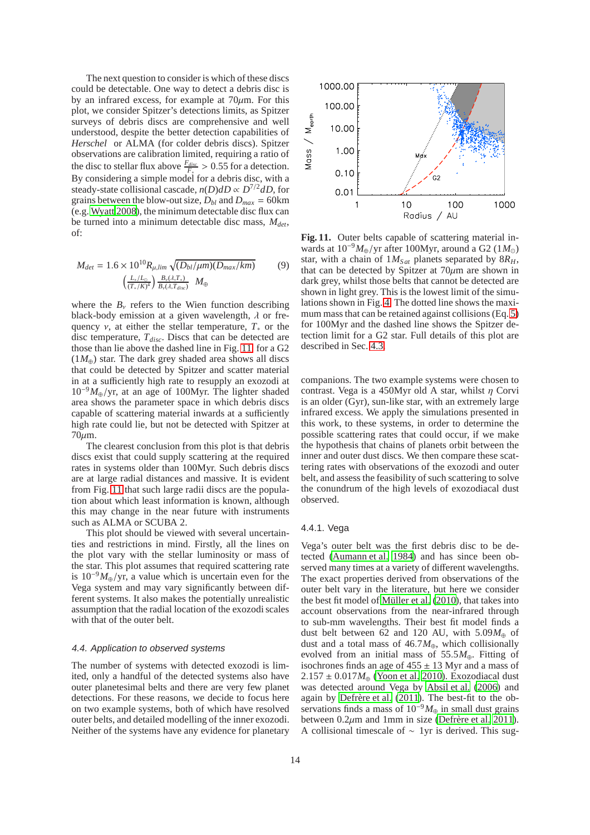The next question to consider is which of these discs could be detectable. One way to detect a debris disc is by an infrared excess, for example at  $70 \mu m$ . For this plot, we consider Spitzer's detections limits, as Spitzer surveys of debris discs are comprehensive and well understood, despite the better detection capabilities of *Herschel* or ALMA (for colder debris discs). Spitzer observations are calibration limited, requiring a ratio of the disc to stellar flux above  $\frac{F_{disc}}{F_{\text{r}}} > 0.55$  for a detection. By considering a simple model for a debris disc, with a steady-state collisional cascade,  $n(D)$ *dD* ∝  $D^{7/2}$ *dD*, for grains between the blow-out size,  $D_{bl}$  and  $D_{max} = 60 \text{km}$ (e.g. [Wyatt 2008\)](#page-18-0), the minimum detectable disc flux can be turned into a minimum detectable disc mass, *Mdet*, of:

$$
M_{det} = 1.6 \times 10^{10} R_{\mu,lim} \sqrt{(D_{bl}/\mu m)(D_{max}/km)}
$$
(9)  

$$
\left(\frac{L_*/L_{\odot}}{(T_*/K)^4}\right) \frac{B_*/(\lambda, T_*)}{B_*/(\lambda, T_{disc})} M_{\oplus}
$$

where the  $B<sub>v</sub>$  refers to the Wien function describing black-body emission at a given wavelength,  $\lambda$  or frequency  $v$ , at either the stellar temperature,  $T_*$  or the disc temperature, *Tdisc*. Discs that can be detected are those than lie above the dashed line in Fig. [11,](#page-13-0) for a G2  $(1M_{\oplus})$  star. The dark grey shaded area shows all discs that could be detected by Spitzer and scatter material in at a sufficiently high rate to resupply an exozodi at <sup>10</sup>−<sup>9</sup>*M*⊕/yr, at an age of 100Myr. The lighter shaded area shows the parameter space in which debris discs capable of scattering material inwards at a sufficiently high rate could lie, but not be detected with Spitzer at 70µm.

The clearest conclusion from this plot is that debris discs exist that could supply scattering at the required rates in systems older than 100Myr. Such debris discs are at large radial distances and massive. It is evident from Fig. [11](#page-13-0) that such large radii discs are the population about which least information is known, although this may change in the near future with instruments such as ALMA or SCUBA 2.

This plot should be viewed with several uncertainties and restrictions in mind. Firstly, all the lines on the plot vary with the stellar luminosity or mass of the star. This plot assumes that required scattering rate is  $10^{-9}M_{\oplus}/yr$ , a value which is uncertain even for the Vega system and may vary significantly between different systems. It also makes the potentially unrealistic assumption that the radial location of the exozodi scales with that of the outer belt.

#### 4.4. Application to observed systems

The number of systems with detected exozodi is limited, only a handful of the detected systems also have outer planetesimal belts and there are very few planet detections. For these reasons, we decide to focus here on two example systems, both of which have resolved outer belts, and detailed modelling of the inner exozodi. Neither of the systems have any evidence for planetary



<span id="page-13-0"></span>**Fig. 11.** Outer belts capable of scattering material inwards at 10−9*M*⊕/yr after 100Myr, around a G2 (1*M*⊙) star, with a chain of  $1M<sub>Sat</sub>$  planets separated by  $8R<sub>H</sub>$ , that can be detected by Spitzer at  $70 \mu m$  are shown in dark grey, whilst those belts that cannot be detected are shown in light grey. This is the lowest limit of the simulations shown in Fig. [4.](#page-8-0) The dotted line shows the maxi-mum mass that can be retained against collisions (Eq. [5\)](#page-5-0) for 100Myr and the dashed line shows the Spitzer detection limit for a G2 star. Full details of this plot are described in Sec. [4.3.](#page-12-3)

companions. The two example systems were chosen to contrast. Vega is a 450Myr old A star, whilst  $\eta$  Corvi is an older (Gyr), sun-like star, with an extremely large infrared excess. We apply the simulations presented in this work, to these systems, in order to determine the possible scattering rates that could occur, if we make the hypothesis that chains of planets orbit between the inner and outer dust discs. We then compare these scattering rates with observations of the exozodi and outer belt, and assess the feasibility of such scattering to solve the conundrum of the high levels of exozodiacal dust observed.

#### <span id="page-13-1"></span>4.4.1. Vega

Vega's outer belt was the first debris disc to be detected [\(Aumann et al. 1984](#page-18-49)) and has since been observed many times at a variety of different wavelengths. The exact properties derived from observations of the outer belt vary in the literature, but here we consider the best fit model of Müller et al. [\(2010\)](#page-18-45), that takes into account observations from the near-infrared through to sub-mm wavelengths. Their best fit model finds a dust belt between 62 and 120 AU, with  $5.09M_{\oplus}$  of dust and a total mass of  $46.7M_{\oplus}$ , which collisionally evolved from an initial mass of 55.5*M*⊕. Fitting of isochrones finds an age of  $455 \pm 13$  Myr and a mass of  $2.157 \pm 0.017 M_{\oplus}$  [\(Yoon et al. 2010\)](#page-18-44). Exozodiacal dust was detected around Vega by [Absil et al. \(2006\)](#page-18-1) and again by Defrère et al.  $(2011)$ . The best-fit to the observations finds a mass of  $10^{-9}M_{\oplus}$  in small dust grains between  $0.2\mu$ m and 1mm in size (Defrère et al. 2011). A collisional timescale of ∼ 1yr is derived. This sug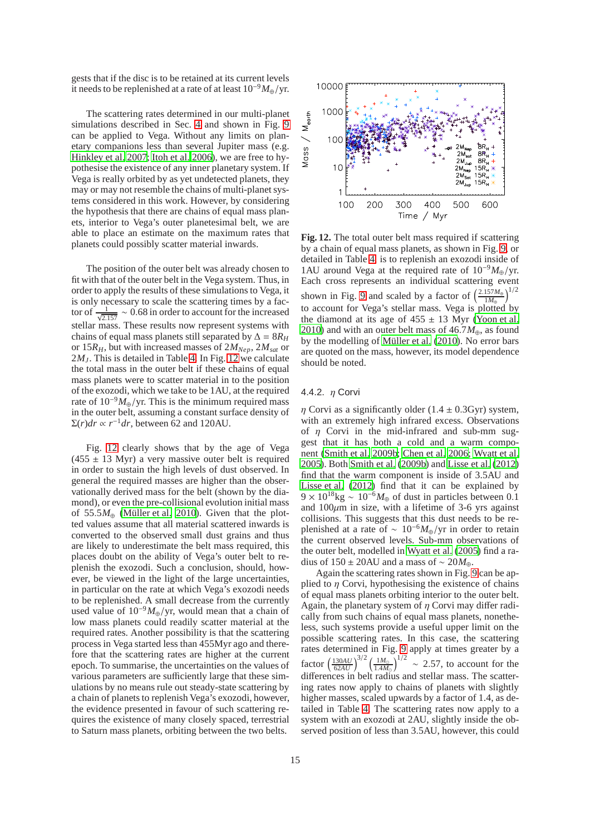gests that if the disc is to be retained at its current levels it needs to be replenished at a rate of at least 10−9*M*⊕/yr.

The scattering rates determined in our multi-planet simulations described in Sec. [4](#page-8-0) and shown in Fig. [9](#page-10-0) can be applied to Vega. Without any limits on planetary companions less than several Jupiter mass (e.g. [Hinkley et al. 2007](#page-18-50); [Itoh et al. 2006\)](#page-18-51), we are free to hypothesise the existence of any inner planetary system. If Vega is really orbited by as yet undetected planets, they may or may not resemble the chains of multi-planet systems considered in this work. However, by considering the hypothesis that there are chains of equal mass planets, interior to Vega's outer planetesimal belt, we are able to place an estimate on the maximum rates that planets could possibly scatter material inwards.

The position of the outer belt was already chosen to fit with that of the outer belt in the Vega system. Thus, in order to apply the results of these simulations to Vega, it is only necessary to scale the scattering times by a factor of  $\frac{1}{\sqrt{2.157}} \sim 0.68$  in order to account for the increased stellar mass. These results now represent systems with chains of equal mass planets still separated by  $\Delta = 8R_H$ or 15 $R$ <sup>H</sup>, but with increased masses of  $2M_{Nep}$ ,  $2M_{sat}$  or 2*MJ*. This is detailed in Table [4.](#page-10-0) In Fig. [12](#page-14-0) we calculate the total mass in the outer belt if these chains of equal mass planets were to scatter material in to the position of the exozodi, which we take to be 1AU, at the required rate of  $10^{-9}M_{\oplus}/yr$ . This is the minimum required mass in the outer belt, assuming a constant surface density of  $\Sigma(r)dr \propto r^{-1}dr$ , between 62 and 120AU.

Fig. [12](#page-14-0) clearly shows that by the age of Vega  $(455 \pm 13 \text{ Myr})$  a very massive outer belt is required in order to sustain the high levels of dust observed. In general the required masses are higher than the observationally derived mass for the belt (shown by the diamond), or even the pre-collisional evolution initial mass of 55.5 $M_{\oplus}$  (Müller et al. 2010). Given that the plotted values assume that all material scattered inwards is converted to the observed small dust grains and thus are likely to underestimate the belt mass required, this places doubt on the ability of Vega's outer belt to replenish the exozodi. Such a conclusion, should, however, be viewed in the light of the large uncertainties, in particular on the rate at which Vega's exozodi needs to be replenished. A small decrease from the currently used value of  $10^{-9}M_{\oplus}/yr$ , would mean that a chain of low mass planets could readily scatter material at the required rates. Another possibility is that the scattering process in Vega started less than 455Myr ago and therefore that the scattering rates are higher at the current epoch. To summarise, the uncertainties on the values of various parameters are sufficiently large that these simulations by no means rule out steady-state scattering by a chain of planets to replenish Vega's exozodi, however, the evidence presented in favour of such scattering requires the existence of many closely spaced, terrestrial to Saturn mass planets, orbiting between the two belts.



<span id="page-14-0"></span>**Fig. 12.** The total outer belt mass required if scattering by a chain of equal mass planets, as shown in Fig. [9,](#page-10-0) or detailed in Table [4,](#page-10-0) is to replenish an exozodi inside of 1AU around Vega at the required rate of 10−9*M*⊕/yr. Each cross represents an individual scattering event shown in Fig. [9](#page-10-0) and scaled by a factor of  $\left(\frac{2.157M_{\oplus}}{1M_{\oplus}}\right)$  $\frac{157M_{\oplus}}{1M_{\oplus}}\bigg)^{1/2}$ to account for Vega's stellar mass. Vega is plotted by the diamond at its age of  $455 \pm 13$  Myr [\(Yoon et al.](#page-18-44) [2010\)](#page-18-44) and with an outer belt mass of 46.7*M*⊕, as found by the modelling of Müller et al. (2010). No error bars are quoted on the mass, however, its model dependence should be noted.

#### <span id="page-14-1"></span>4.4.2.  $\eta$  Corvi

*n* Corvi as a significantly older  $(1.4 \pm 0.3$ Gyr) system, with an extremely high infrared excess. Observations of  $\eta$  Corvi in the mid-infrared and sub-mm suggest that it has both a cold and a warm component [\(Smith et al. 2009b;](#page-18-4) [Chen et al. 2006](#page-18-52); [Wyatt et al.](#page-18-22) [2005\)](#page-18-22). Both [Smith et al.](#page-18-4) [\(2009b\)](#page-18-4) and [Lisse et al. \(2012\)](#page-18-6) find that the warm component is inside of 3.5AU and [Lisse et al. \(2012](#page-18-6)) find that it can be explained by  $9 \times 10^{18}$ kg ~  $10^{-6}$ *M*<sub>⊕</sub> of dust in particles between 0.1 and  $100\mu$ m in size, with a lifetime of 3-6 yrs against collisions. This suggests that this dust needs to be replenished at a rate of ~  $10^{-6} M_{\oplus}$ /yr in order to retain the current observed levels. Sub-mm observations of the outer belt, modelled in [Wyatt et al. \(2005\)](#page-18-22) find a radius of 150 ± 20AU and a mass of ~ 20 $M_{\oplus}$ .

Again the scattering rates shown in Fig. [9](#page-10-0) can be applied to  $\eta$  Corvi, hypothesising the existence of chains of equal mass planets orbiting interior to the outer belt. Again, the planetary system of  $\eta$  Corvi may differ radically from such chains of equal mass planets, nonetheless, such systems provide a useful upper limit on the possible scattering rates. In this case, the scattering rates determined in Fig. [9](#page-10-0) apply at times greater by a factor  $\left(\frac{130AU}{62AU}\right)^{3/2} \left(\frac{1M_{\odot}}{1.4M_{\odot}}\right)$  $\frac{1M_{\odot}}{1.4M_{\odot}}$ )<sup>1/2</sup> ~ 2.57, to account for the differences in belt radius and stellar mass. The scattering rates now apply to chains of planets with slightly higher masses, scaled upwards by a factor of 1.4, as detailed in Table [4.](#page-10-0) The scattering rates now apply to a system with an exozodi at 2AU, slightly inside the observed position of less than 3.5AU, however, this could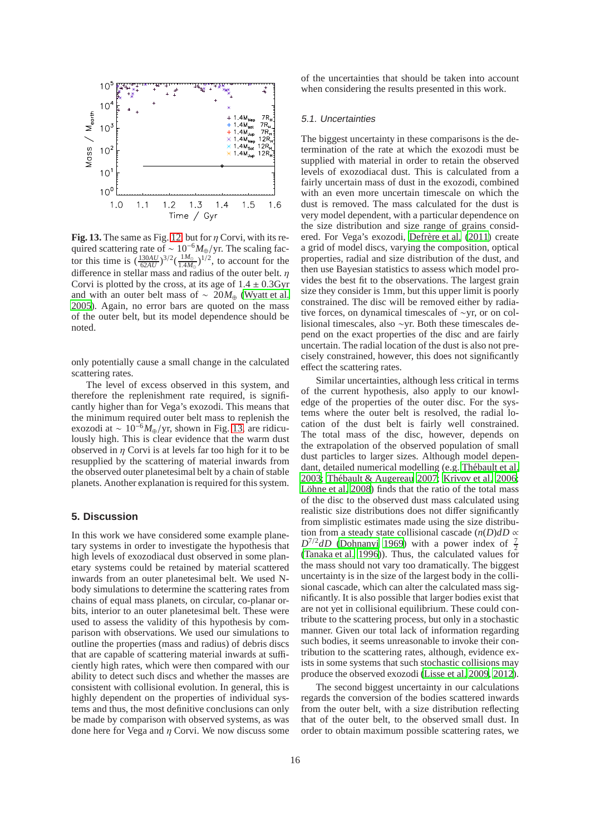

<span id="page-15-1"></span>**Fig. 13.** The same as Fig. [12,](#page-14-0) but for  $\eta$  Corvi, with its required scattering rate of ~ 10<sup>-6</sup>*M*⊕/yr. The scaling factor this time is  $(\frac{130AU}{62AU})^{3/2}(\frac{1M_{\odot}}{1.4M_{\odot}})$  $\frac{1M_{\odot}}{1.4M_{\odot}}$ )<sup>1/2</sup>, to account for the difference in stellar mass and radius of the outer belt.  $\eta$ Corvi is plotted by the cross, at its age of  $1.4 \pm 0.3$  Gyr and with an outer belt mass of ~ 20 $M_{\oplus}$  [\(Wyatt et al.](#page-18-22) [2005\)](#page-18-22). Again, no error bars are quoted on the mass of the outer belt, but its model dependence should be noted.

only potentially cause a small change in the calculated scattering rates.

The level of excess observed in this system, and therefore the replenishment rate required, is significantly higher than for Vega's exozodi. This means that the minimum required outer belt mass to replenish the exozodi at  $\sim 10^{-6} M_{\oplus}/yr$ , shown in Fig. [13,](#page-15-1) are ridiculously high. This is clear evidence that the warm dust observed in  $\eta$  Corvi is at levels far too high for it to be resupplied by the scattering of material inwards from the observed outer planetesimal belt by a chain of stable planets. Another explanation is required for this system.

## <span id="page-15-0"></span>**5. Discussion**

In this work we have considered some example planetary systems in order to investigate the hypothesis that high levels of exozodiacal dust observed in some planetary systems could be retained by material scattered inwards from an outer planetesimal belt. We used Nbody simulations to determine the scattering rates from chains of equal mass planets, on circular, co-planar orbits, interior to an outer planetesimal belt. These were used to assess the validity of this hypothesis by comparison with observations. We used our simulations to outline the properties (mass and radius) of debris discs that are capable of scattering material inwards at sufficiently high rates, which were then compared with our ability to detect such discs and whether the masses are consistent with collisional evolution. In general, this is highly dependent on the properties of individual systems and thus, the most definitive conclusions can only be made by comparison with observed systems, as was done here for Vega and  $\eta$  Corvi. We now discuss some of the uncertainties that should be taken into account when considering the results presented in this work.

## 5.1. Uncertainties

The biggest uncertainty in these comparisons is the determination of the rate at which the exozodi must be supplied with material in order to retain the observed levels of exozodiacal dust. This is calculated from a fairly uncertain mass of dust in the exozodi, combined with an even more uncertain timescale on which the dust is removed. The mass calculated for the dust is very model dependent, with a particular dependence on the size distribution and size range of grains considered. For Vega's exozodi, Defrère et al. (2011) create a grid of model discs, varying the composition, optical properties, radial and size distribution of the dust, and then use Bayesian statistics to assess which model provides the best fit to the observations. The largest grain size they consider is 1mm, but this upper limit is poorly constrained. The disc will be removed either by radiative forces, on dynamical timescales of ∼yr, or on collisional timescales, also ∼yr. Both these timescales depend on the exact properties of the disc and are fairly uncertain. The radial location of the dust is also not precisely constrained, however, this does not significantly effect the scattering rates.

Similar uncertainties, although less critical in terms of the current hypothesis, also apply to our knowledge of the properties of the outer disc. For the systems where the outer belt is resolved, the radial location of the dust belt is fairly well constrained. The total mass of the disc, however, depends on the extrapolation of the observed population of small dust particles to larger sizes. Although model dependant, detailed numerical modelling (e.g. Thébault et al. [2003;](#page-18-53) Thébault & Augereau 2007; [Krivov et al. 2006;](#page-18-54) Löhne et al. 2008) finds that the ratio of the total mass of the disc to the observed dust mass calculated using realistic size distributions does not differ significantly from simplistic estimates made using the size distribution from a steady state collisional cascade  $(n(D)dD \propto$  $D^{7/2}dD$  [\(Dohnanyi 1969\)](#page-18-42) with a power index of  $\frac{7}{2}$ [\(Tanaka et al. 1996\)](#page-18-43)). Thus, the calculated values for the mass should not vary too dramatically. The biggest uncertainty is in the size of the largest body in the collisional cascade, which can alter the calculated mass significantly. It is also possible that larger bodies exist that are not yet in collisional equilibrium. These could contribute to the scattering process, but only in a stochastic manner. Given our total lack of information regarding such bodies, it seems unreasonable to invoke their contribution to the scattering rates, although, evidence exists in some systems that such stochastic collisions may produce the observed exozodi [\(Lisse et al. 2009,](#page-18-7) [2012\)](#page-18-6).

The second biggest uncertainty in our calculations regards the conversion of the bodies scattered inwards from the outer belt, with a size distribution reflecting that of the outer belt, to the observed small dust. In order to obtain maximum possible scattering rates, we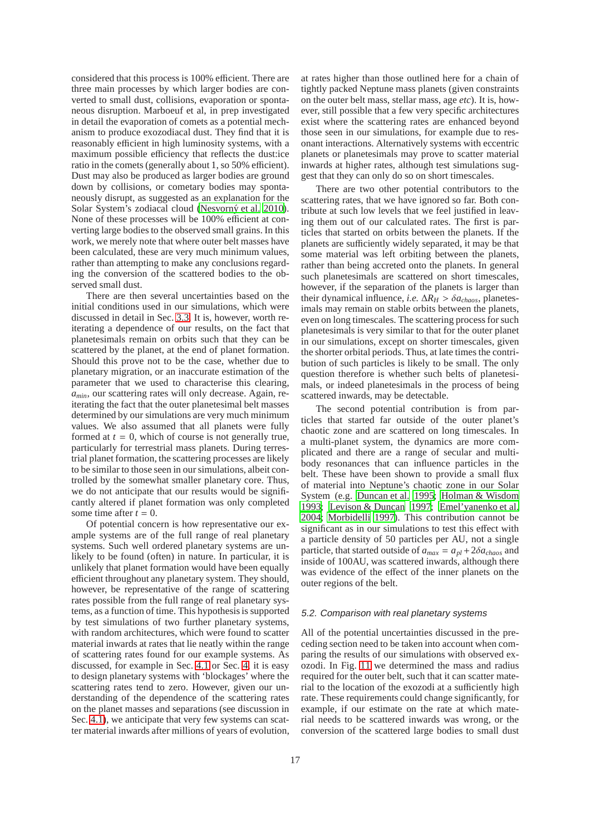considered that this process is 100% efficient. There are three main processes by which larger bodies are converted to small dust, collisions, evaporation or spontaneous disruption. Marboeuf et al, in prep investigated in detail the evaporation of comets as a potential mechanism to produce exozodiacal dust. They find that it is reasonably efficient in high luminosity systems, with a maximum possible efficiency that reflects the dust:ice ratio in the comets (generally about 1, so 50% efficient). Dust may also be produced as larger bodies are ground down by collisions, or cometary bodies may spontaneously disrupt, as suggested as an explanation for the Solar System's zodiacal cloud (Nesvorný et al. 2010). None of these processes will be 100% efficient at converting large bodies to the observed small grains. In this work, we merely note that where outer belt masses have been calculated, these are very much minimum values, rather than attempting to make any conclusions regarding the conversion of the scattered bodies to the observed small dust.

There are then several uncertainties based on the initial conditions used in our simulations, which were discussed in detail in Sec. [3.3.](#page-7-0) It is, however, worth reiterating a dependence of our results, on the fact that planetesimals remain on orbits such that they can be scattered by the planet, at the end of planet formation. Should this prove not to be the case, whether due to planetary migration, or an inaccurate estimation of the parameter that we used to characterise this clearing, *amin*, our scattering rates will only decrease. Again, reiterating the fact that the outer planetesimal belt masses determined by our simulations are very much minimum values. We also assumed that all planets were fully formed at  $t = 0$ , which of course is not generally true, particularly for terrestrial mass planets. During terrestrial planet formation, the scattering processes are likely to be similar to those seen in our simulations, albeit controlled by the somewhat smaller planetary core. Thus, we do not anticipate that our results would be significantly altered if planet formation was only completed some time after  $t = 0$ .

Of potential concern is how representative our example systems are of the full range of real planetary systems. Such well ordered planetary systems are unlikely to be found (often) in nature. In particular, it is unlikely that planet formation would have been equally efficient throughout any planetary system. They should, however, be representative of the range of scattering rates possible from the full range of real planetary systems, as a function of time. This hypothesis is supported by test simulations of two further planetary systems, with random architectures, which were found to scatter material inwards at rates that lie neatly within the range of scattering rates found for our example systems. As discussed, for example in Sec. [4.1](#page-9-2) or Sec. [4,](#page-8-0) it is easy to design planetary systems with 'blockages' where the scattering rates tend to zero. However, given our understanding of the dependence of the scattering rates on the planet masses and separations (see discussion in Sec. [4.1\)](#page-9-2), we anticipate that very few systems can scatter material inwards after millions of years of evolution,

at rates higher than those outlined here for a chain of tightly packed Neptune mass planets (given constraints on the outer belt mass, stellar mass, age *etc*). It is, however, still possible that a few very specific architectures exist where the scattering rates are enhanced beyond those seen in our simulations, for example due to resonant interactions. Alternatively systems with eccentric planets or planetesimals may prove to scatter material inwards at higher rates, although test simulations suggest that they can only do so on short timescales.

There are two other potential contributors to the scattering rates, that we have ignored so far. Both contribute at such low levels that we feel justified in leaving them out of our calculated rates. The first is particles that started on orbits between the planets. If the planets are sufficiently widely separated, it may be that some material was left orbiting between the planets, rather than being accreted onto the planets. In general such planetesimals are scattered on short timescales, however, if the separation of the planets is larger than their dynamical influence, *i.e.*  $\Delta R_H > \delta a_{chaos}$ , planetesimals may remain on stable orbits between the planets, even on long timescales. The scattering process for such planetesimals is very similar to that for the outer planet in our simulations, except on shorter timescales, given the shorter orbital periods. Thus, at late times the contribution of such particles is likely to be small. The only question therefore is whether such belts of planetesimals, or indeed planetesimals in the process of being scattered inwards, may be detectable.

The second potential contribution is from particles that started far outside of the outer planet's chaotic zone and are scattered on long timescales. In a multi-planet system, the dynamics are more complicated and there are a range of secular and multibody resonances that can influence particles in the belt. These have been shown to provide a small flux of material into Neptune's chaotic zone in our Solar System (e.g. [Duncan et al. 1995;](#page-18-55) [Holman & Wisdom](#page-18-56) [1993;](#page-18-56) [Levison & Duncan 1997;](#page-18-57) [Emel'yanenko et al.](#page-18-58) [2004;](#page-18-58) [Morbidelli 1997\)](#page-18-59). This contribution cannot be significant as in our simulations to test this effect with a particle density of 50 particles per AU, not a single particle, that started outside of  $a_{max} = a_{nl} + 2\delta a_{chaos}$  and inside of 100AU, was scattered inwards, although there was evidence of the effect of the inner planets on the outer regions of the belt.

#### 5.2. Comparison with real planetary systems

All of the potential uncertainties discussed in the preceding section need to be taken into account when comparing the results of our simulations with observed exozodi. In Fig. [11](#page-13-0) we determined the mass and radius required for the outer belt, such that it can scatter material to the location of the exozodi at a sufficiently high rate. These requirements could change significantly, for example, if our estimate on the rate at which material needs to be scattered inwards was wrong, or the conversion of the scattered large bodies to small dust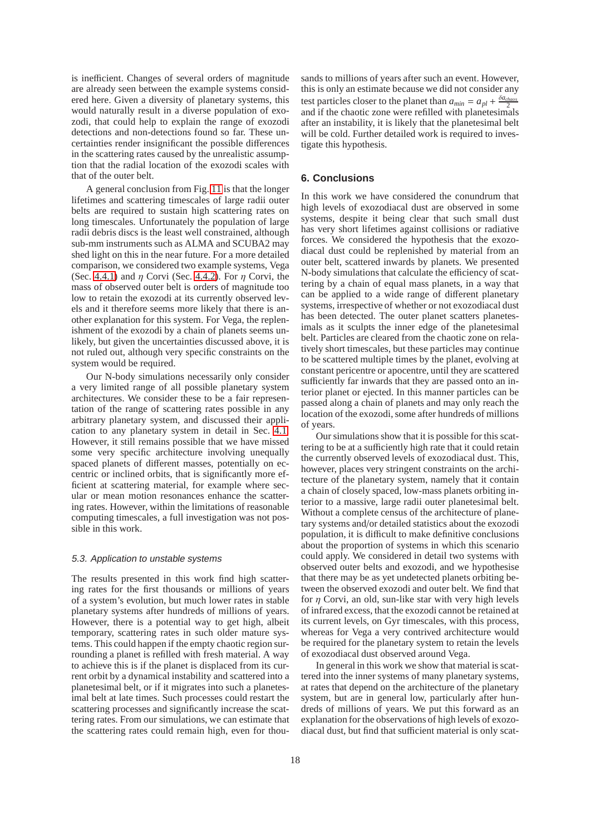is inefficient. Changes of several orders of magnitude are already seen between the example systems considered here. Given a diversity of planetary systems, this would naturally result in a diverse population of exozodi, that could help to explain the range of exozodi detections and non-detections found so far. These uncertainties render insignificant the possible differences in the scattering rates caused by the unrealistic assumption that the radial location of the exozodi scales with that of the outer belt.

A general conclusion from Fig. [11](#page-13-0) is that the longer lifetimes and scattering timescales of large radii outer belts are required to sustain high scattering rates on long timescales. Unfortunately the population of large radii debris discs is the least well constrained, although sub-mm instruments such as ALMA and SCUBA2 may shed light on this in the near future. For a more detailed comparison, we considered two example systems, Vega (Sec. [4.4.1\)](#page-13-1) and  $\eta$  Corvi (Sec. [4.4.2\)](#page-14-1). For  $\eta$  Corvi, the mass of observed outer belt is orders of magnitude too low to retain the exozodi at its currently observed levels and it therefore seems more likely that there is another explanation for this system. For Vega, the replenishment of the exozodi by a chain of planets seems unlikely, but given the uncertainties discussed above, it is not ruled out, although very specific constraints on the system would be required.

Our N-body simulations necessarily only consider a very limited range of all possible planetary system architectures. We consider these to be a fair representation of the range of scattering rates possible in any arbitrary planetary system, and discussed their application to any planetary system in detail in Sec. [4.1.](#page-9-2) However, it still remains possible that we have missed some very specific architecture involving unequally spaced planets of different masses, potentially on eccentric or inclined orbits, that is significantly more efficient at scattering material, for example where secular or mean motion resonances enhance the scattering rates. However, within the limitations of reasonable computing timescales, a full investigation was not possible in this work.

## 5.3. Application to unstable systems

The results presented in this work find high scattering rates for the first thousands or millions of years of a system's evolution, but much lower rates in stable planetary systems after hundreds of millions of years. However, there is a potential way to get high, albeit temporary, scattering rates in such older mature systems. This could happen if the empty chaotic region surrounding a planet is refilled with fresh material. A way to achieve this is if the planet is displaced from its current orbit by a dynamical instability and scattered into a planetesimal belt, or if it migrates into such a planetesimal belt at late times. Such processes could restart the scattering processes and significantly increase the scattering rates. From our simulations, we can estimate that the scattering rates could remain high, even for thousands to millions of years after such an event. However, this is only an estimate because we did not consider any test particles closer to the planet than  $a_{min} = a_{pl} + \frac{\delta a_{chaos}}{2}$ and if the chaotic zone were refilled with planetesimals after an instability, it is likely that the planetesimal belt will be cold. Further detailed work is required to investigate this hypothesis.

# <span id="page-17-0"></span>**6. Conclusions**

In this work we have considered the conundrum that high levels of exozodiacal dust are observed in some systems, despite it being clear that such small dust has very short lifetimes against collisions or radiative forces. We considered the hypothesis that the exozodiacal dust could be replenished by material from an outer belt, scattered inwards by planets. We presented N-body simulations that calculate the efficiency of scattering by a chain of equal mass planets, in a way that can be applied to a wide range of different planetary systems, irrespective of whether or not exozodiacal dust has been detected. The outer planet scatters planetesimals as it sculpts the inner edge of the planetesimal belt. Particles are cleared from the chaotic zone on relatively short timescales, but these particles may continue to be scattered multiple times by the planet, evolving at constant pericentre or apocentre, until they are scattered sufficiently far inwards that they are passed onto an interior planet or ejected. In this manner particles can be passed along a chain of planets and may only reach the location of the exozodi, some after hundreds of millions of years.

Our simulations show that it is possible for this scattering to be at a sufficiently high rate that it could retain the currently observed levels of exozodiacal dust. This, however, places very stringent constraints on the architecture of the planetary system, namely that it contain a chain of closely spaced, low-mass planets orbiting interior to a massive, large radii outer planetesimal belt. Without a complete census of the architecture of planetary systems and/or detailed statistics about the exozodi population, it is difficult to make definitive conclusions about the proportion of systems in which this scenario could apply. We considered in detail two systems with observed outer belts and exozodi, and we hypothesise that there may be as yet undetected planets orbiting between the observed exozodi and outer belt. We find that for  $\eta$  Corvi, an old, sun-like star with very high levels of infrared excess, that the exozodi cannot be retained at its current levels, on Gyr timescales, with this process, whereas for Vega a very contrived architecture would be required for the planetary system to retain the levels of exozodiacal dust observed around Vega.

In general in this work we show that material is scattered into the inner systems of many planetary systems, at rates that depend on the architecture of the planetary system, but are in general low, particularly after hundreds of millions of years. We put this forward as an explanation for the observations of high levels of exozodiacal dust, but find that sufficient material is only scat